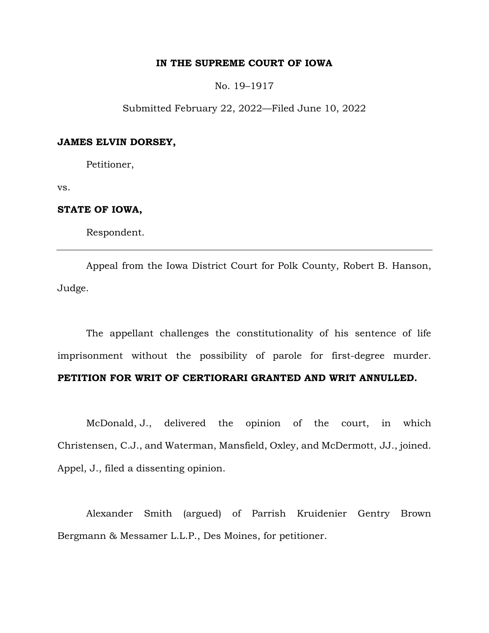## **IN THE SUPREME COURT OF IOWA**

No. 19–1917

Submitted February 22, 2022—Filed June 10, 2022

# **JAMES ELVIN DORSEY,**

Petitioner,

vs.

### **STATE OF IOWA,**

Respondent.

Appeal from the Iowa District Court for Polk County, Robert B. Hanson, Judge.

The appellant challenges the constitutionality of his sentence of life imprisonment without the possibility of parole for first-degree murder. **PETITION FOR WRIT OF CERTIORARI GRANTED AND WRIT ANNULLED.**

McDonald, J., delivered the opinion of the court, in which Christensen, C.J., and Waterman, Mansfield, Oxley, and McDermott, JJ., joined. Appel, J., filed a dissenting opinion.

Alexander Smith (argued) of Parrish Kruidenier Gentry Brown Bergmann & Messamer L.L.P., Des Moines, for petitioner.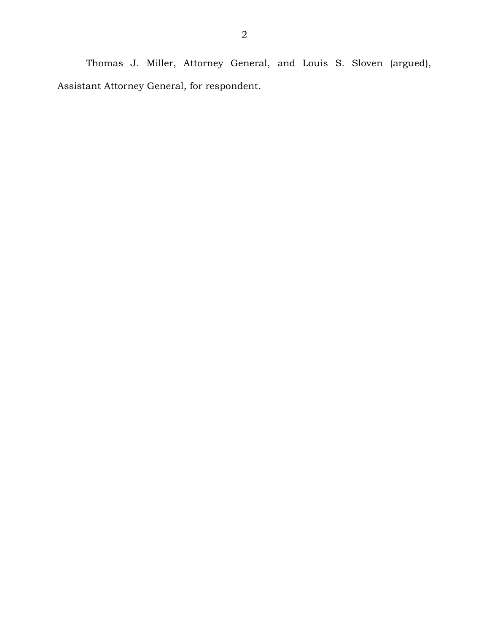Thomas J. Miller, Attorney General, and Louis S. Sloven (argued), Assistant Attorney General, for respondent.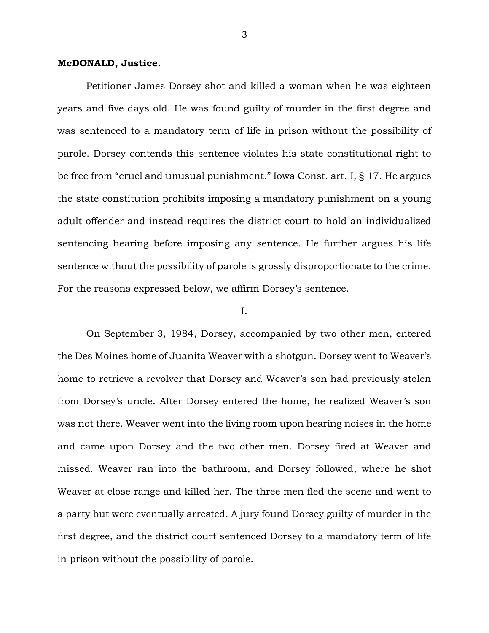#### **McDONALD, Justice.**

Petitioner James Dorsey shot and killed a woman when he was eighteen years and five days old. He was found guilty of murder in the first degree and was sentenced to a mandatory term of life in prison without the possibility of parole. Dorsey contends this sentence violates his state constitutional right to be free from "cruel and unusual punishment." Iowa Const. art. I, § 17. He argues the state constitution prohibits imposing a mandatory punishment on a young adult offender and instead requires the district court to hold an individualized sentencing hearing before imposing any sentence. He further argues his life sentence without the possibility of parole is grossly disproportionate to the crime. For the reasons expressed below, we affirm Dorsey's sentence.

### I.

On September 3, 1984, Dorsey, accompanied by two other men, entered the Des Moines home of Juanita Weaver with a shotgun. Dorsey went to Weaver's home to retrieve a revolver that Dorsey and Weaver's son had previously stolen from Dorsey's uncle. After Dorsey entered the home, he realized Weaver's son was not there. Weaver went into the living room upon hearing noises in the home and came upon Dorsey and the two other men. Dorsey fired at Weaver and missed. Weaver ran into the bathroom, and Dorsey followed, where he shot Weaver at close range and killed her. The three men fled the scene and went to a party but were eventually arrested. A jury found Dorsey guilty of murder in the first degree, and the district court sentenced Dorsey to a mandatory term of life in prison without the possibility of parole.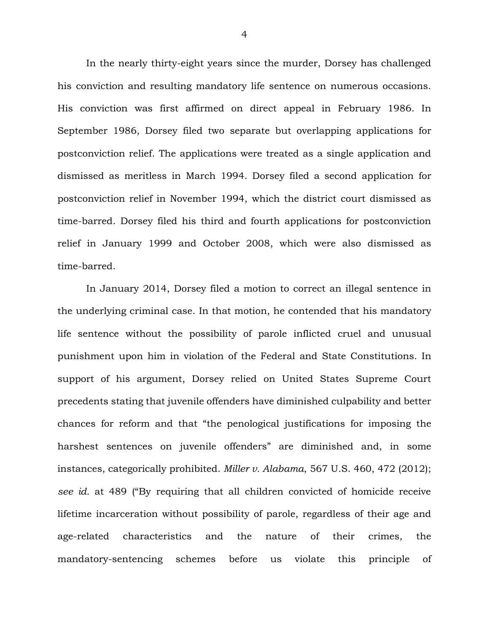In the nearly thirty-eight years since the murder, Dorsey has challenged his conviction and resulting mandatory life sentence on numerous occasions. His conviction was first affirmed on direct appeal in February 1986. In September 1986, Dorsey filed two separate but overlapping applications for postconviction relief. The applications were treated as a single application and dismissed as meritless in March 1994. Dorsey filed a second application for postconviction relief in November 1994, which the district court dismissed as time-barred. Dorsey filed his third and fourth applications for postconviction relief in January 1999 and October 2008, which were also dismissed as time-barred.

In January 2014, Dorsey filed a motion to correct an illegal sentence in the underlying criminal case. In that motion, he contended that his mandatory life sentence without the possibility of parole inflicted cruel and unusual punishment upon him in violation of the Federal and State Constitutions. In support of his argument, Dorsey relied on United States Supreme Court precedents stating that juvenile offenders have diminished culpability and better chances for reform and that "the penological justifications for imposing the harshest sentences on juvenile offenders" are diminished and, in some instances, categorically prohibited. *Miller v. Alabama*, 567 U.S. 460, 472 (2012); *see id.* at 489 ("By requiring that all children convicted of homicide receive lifetime incarceration without possibility of parole, regardless of their age and age-related characteristics and the nature of their crimes, the mandatory-sentencing schemes before us violate this principle of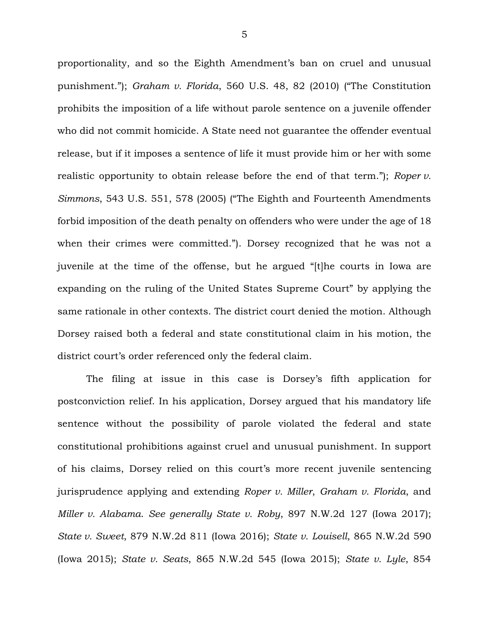proportionality, and so the Eighth Amendment's ban on cruel and unusual punishment."); *Graham v. Florida*, 560 U.S. 48, 82 (2010) ("The Constitution prohibits the imposition of a life without parole sentence on a juvenile offender who did not commit homicide. A State need not guarantee the offender eventual release, but if it imposes a sentence of life it must provide him or her with some realistic opportunity to obtain release before the end of that term."); *Roper v. Simmons*, 543 U.S. 551, 578 (2005) ("The Eighth and Fourteenth Amendments forbid imposition of the death penalty on offenders who were under the age of 18 when their crimes were committed."). Dorsey recognized that he was not a juvenile at the time of the offense, but he argued "[t]he courts in Iowa are expanding on the ruling of the United States Supreme Court" by applying the same rationale in other contexts. The district court denied the motion. Although Dorsey raised both a federal and state constitutional claim in his motion, the district court's order referenced only the federal claim.

The filing at issue in this case is Dorsey's fifth application for postconviction relief. In his application, Dorsey argued that his mandatory life sentence without the possibility of parole violated the federal and state constitutional prohibitions against cruel and unusual punishment. In support of his claims, Dorsey relied on this court's more recent juvenile sentencing jurisprudence applying and extending *Roper v. Miller*, *Graham v. Florida*, and *Miller v. Alabama*. *See generally State v. Roby*, 897 N.W.2d 127 (Iowa 2017); *State v. Sweet*, 879 N.W.2d 811 (Iowa 2016); *State v. Louisell*, 865 N.W.2d 590 (Iowa 2015); *State v. Seats*, 865 N.W.2d 545 (Iowa 2015); *State v. Lyle*, 854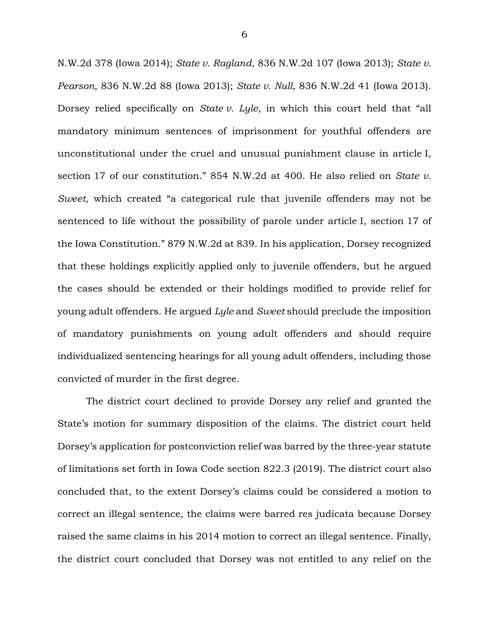N.W.2d 378 (Iowa 2014); *State v. Ragland*, 836 N.W.2d 107 (Iowa 2013); *State v. Pearson*, 836 N.W.2d 88 (Iowa 2013); *State v. Null*, 836 N.W.2d 41 (Iowa 2013). Dorsey relied specifically on *State v. Lyle*, in which this court held that "all mandatory minimum sentences of imprisonment for youthful offenders are unconstitutional under the cruel and unusual punishment clause in article I, section 17 of our constitution." 854 N.W.2d at 400. He also relied on *State v. Sweet*, which created "a categorical rule that juvenile offenders may not be sentenced to life without the possibility of parole under article I, section 17 of the Iowa Constitution." 879 N.W.2d at 839. In his application, Dorsey recognized that these holdings explicitly applied only to juvenile offenders, but he argued the cases should be extended or their holdings modified to provide relief for young adult offenders. He argued *Lyle* and *Sweet* should preclude the imposition of mandatory punishments on young adult offenders and should require individualized sentencing hearings for all young adult offenders, including those convicted of murder in the first degree.

The district court declined to provide Dorsey any relief and granted the State's motion for summary disposition of the claims. The district court held Dorsey's application for postconviction relief was barred by the three-year statute of limitations set forth in Iowa Code section 822.3 (2019). The district court also concluded that, to the extent Dorsey's claims could be considered a motion to correct an illegal sentence, the claims were barred res judicata because Dorsey raised the same claims in his 2014 motion to correct an illegal sentence. Finally, the district court concluded that Dorsey was not entitled to any relief on the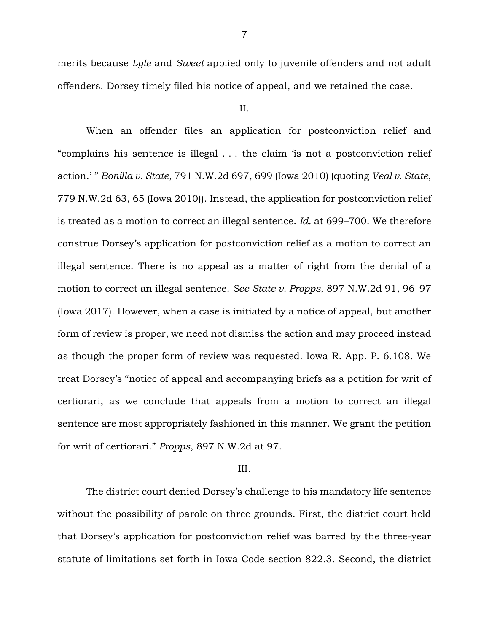merits because *Lyle* and *Sweet* applied only to juvenile offenders and not adult offenders. Dorsey timely filed his notice of appeal, and we retained the case.

II.

When an offender files an application for postconviction relief and "complains his sentence is illegal . . . the claim 'is not a postconviction relief action.' " *Bonilla v. State*, 791 N.W.2d 697, 699 (Iowa 2010) (quoting *Veal v. State*, 779 N.W.2d 63, 65 (Iowa 2010)). Instead, the application for postconviction relief is treated as a motion to correct an illegal sentence. *Id.* at 699–700. We therefore construe Dorsey's application for postconviction relief as a motion to correct an illegal sentence. There is no appeal as a matter of right from the denial of a motion to correct an illegal sentence. *See State v. Propps*, 897 N.W.2d 91, 96–97 (Iowa 2017). However, when a case is initiated by a notice of appeal, but another form of review is proper, we need not dismiss the action and may proceed instead as though the proper form of review was requested. Iowa R. App. P. 6.108. We treat Dorsey's "notice of appeal and accompanying briefs as a petition for writ of certiorari, as we conclude that appeals from a motion to correct an illegal sentence are most appropriately fashioned in this manner. We grant the petition for writ of certiorari." *Propps*, 897 N.W.2d at 97.

#### III.

The district court denied Dorsey's challenge to his mandatory life sentence without the possibility of parole on three grounds. First, the district court held that Dorsey's application for postconviction relief was barred by the three-year statute of limitations set forth in Iowa Code section 822.3. Second, the district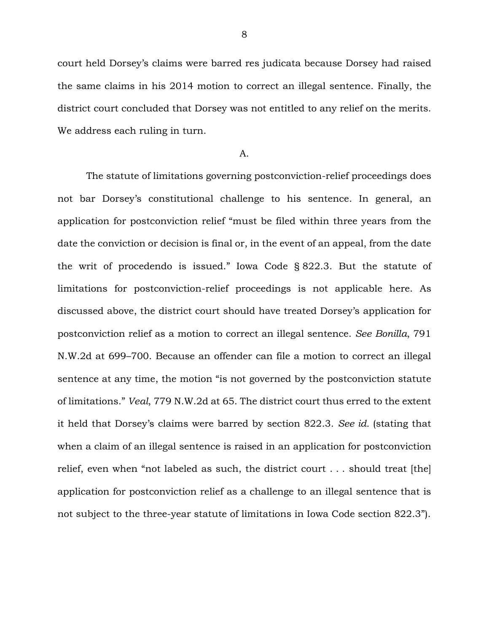court held Dorsey's claims were barred res judicata because Dorsey had raised the same claims in his 2014 motion to correct an illegal sentence. Finally, the district court concluded that Dorsey was not entitled to any relief on the merits. We address each ruling in turn.

A.

The statute of limitations governing postconviction-relief proceedings does not bar Dorsey's constitutional challenge to his sentence. In general, an application for postconviction relief "must be filed within three years from the date the conviction or decision is final or, in the event of an appeal, from the date the writ of procedendo is issued." Iowa Code § 822.3. But the statute of limitations for postconviction-relief proceedings is not applicable here. As discussed above, the district court should have treated Dorsey's application for postconviction relief as a motion to correct an illegal sentence. *See Bonilla*, 791 N.W.2d at 699–700. Because an offender can file a motion to correct an illegal sentence at any time, the motion "is not governed by the postconviction statute of limitations." *Veal*, 779 N.W.2d at 65. The district court thus erred to the extent it held that Dorsey's claims were barred by section 822.3. *See id.* (stating that when a claim of an illegal sentence is raised in an application for postconviction relief, even when "not labeled as such, the district court . . . should treat [the] application for postconviction relief as a challenge to an illegal sentence that is not subject to the three-year statute of limitations in Iowa Code section 822.3").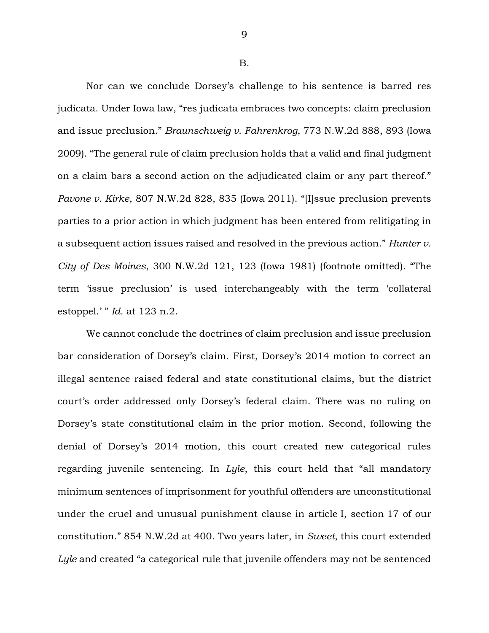Nor can we conclude Dorsey's challenge to his sentence is barred res judicata. Under Iowa law, "res judicata embraces two concepts: claim preclusion and issue preclusion." *Braunschweig v. Fahrenkrog*, 773 N.W.2d 888, 893 (Iowa 2009). "The general rule of claim preclusion holds that a valid and final judgment on a claim bars a second action on the adjudicated claim or any part thereof." *Pavone v. Kirke*, 807 N.W.2d 828, 835 (Iowa 2011). "[I]ssue preclusion prevents parties to a prior action in which judgment has been entered from relitigating in a subsequent action issues raised and resolved in the previous action." *Hunter v. City of Des Moines*, 300 N.W.2d 121, 123 (Iowa 1981) (footnote omitted). "The term 'issue preclusion' is used interchangeably with the term 'collateral estoppel.'" *Id.* at 123 n.2.

We cannot conclude the doctrines of claim preclusion and issue preclusion bar consideration of Dorsey's claim. First, Dorsey's 2014 motion to correct an illegal sentence raised federal and state constitutional claims, but the district court's order addressed only Dorsey's federal claim. There was no ruling on Dorsey's state constitutional claim in the prior motion. Second, following the denial of Dorsey's 2014 motion, this court created new categorical rules regarding juvenile sentencing. In *Lyle*, this court held that "all mandatory minimum sentences of imprisonment for youthful offenders are unconstitutional under the cruel and unusual punishment clause in article I, section 17 of our constitution." 854 N.W.2d at 400. Two years later, in *Sweet*, this court extended *Lyle* and created "a categorical rule that juvenile offenders may not be sentenced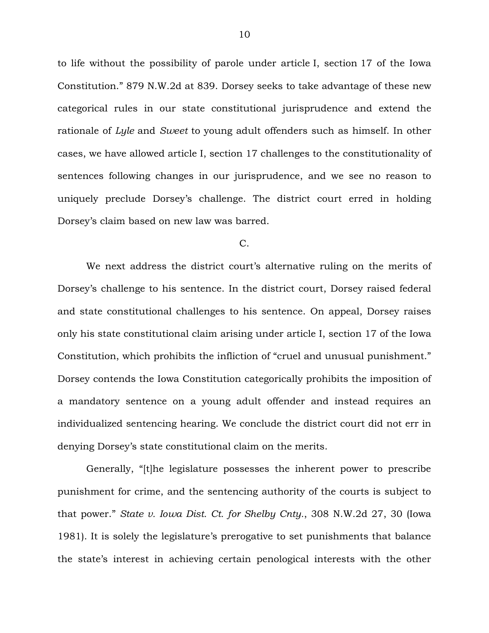to life without the possibility of parole under article I, section 17 of the Iowa Constitution." 879 N.W.2d at 839. Dorsey seeks to take advantage of these new categorical rules in our state constitutional jurisprudence and extend the rationale of *Lyle* and *Sweet* to young adult offenders such as himself. In other cases, we have allowed article I, section 17 challenges to the constitutionality of sentences following changes in our jurisprudence, and we see no reason to uniquely preclude Dorsey's challenge. The district court erred in holding Dorsey's claim based on new law was barred.

#### C.

We next address the district court's alternative ruling on the merits of Dorsey's challenge to his sentence. In the district court, Dorsey raised federal and state constitutional challenges to his sentence. On appeal, Dorsey raises only his state constitutional claim arising under article I, section 17 of the Iowa Constitution, which prohibits the infliction of "cruel and unusual punishment." Dorsey contends the Iowa Constitution categorically prohibits the imposition of a mandatory sentence on a young adult offender and instead requires an individualized sentencing hearing. We conclude the district court did not err in denying Dorsey's state constitutional claim on the merits.

Generally, "[t]he legislature possesses the inherent power to prescribe punishment for crime, and the sentencing authority of the courts is subject to that power." *State v. Iowa Dist. Ct. for Shelby Cnty.*, 308 N.W.2d 27, 30 (Iowa 1981). It is solely the legislature's prerogative to set punishments that balance the state's interest in achieving certain penological interests with the other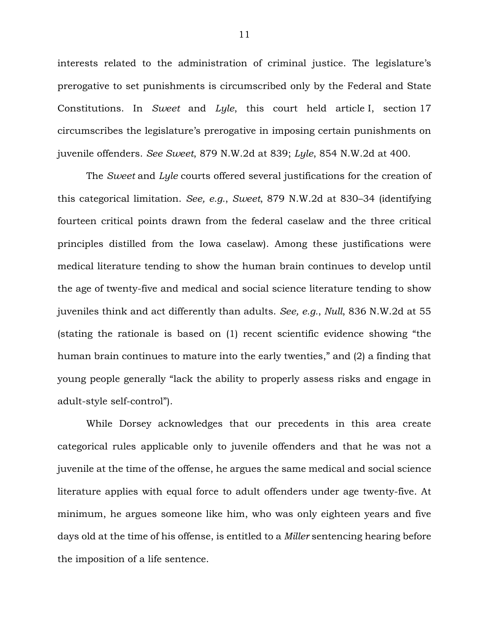interests related to the administration of criminal justice. The legislature's prerogative to set punishments is circumscribed only by the Federal and State Constitutions. In *Sweet* and *Lyle*, this court held article I, section 17 circumscribes the legislature's prerogative in imposing certain punishments on juvenile offenders. *See Sweet*, 879 N.W.2d at 839; *Lyle*, 854 N.W.2d at 400.

The *Sweet* and *Lyle* courts offered several justifications for the creation of this categorical limitation. *See, e.g.*, *Sweet*, 879 N.W.2d at 830–34 (identifying fourteen critical points drawn from the federal caselaw and the three critical principles distilled from the Iowa caselaw). Among these justifications were medical literature tending to show the human brain continues to develop until the age of twenty-five and medical and social science literature tending to show juveniles think and act differently than adults. *See, e.g.*, *Null*, 836 N.W.2d at 55 (stating the rationale is based on (1) recent scientific evidence showing "the human brain continues to mature into the early twenties," and (2) a finding that young people generally "lack the ability to properly assess risks and engage in adult-style self-control").

While Dorsey acknowledges that our precedents in this area create categorical rules applicable only to juvenile offenders and that he was not a juvenile at the time of the offense, he argues the same medical and social science literature applies with equal force to adult offenders under age twenty-five. At minimum, he argues someone like him, who was only eighteen years and five days old at the time of his offense, is entitled to a *Miller* sentencing hearing before the imposition of a life sentence.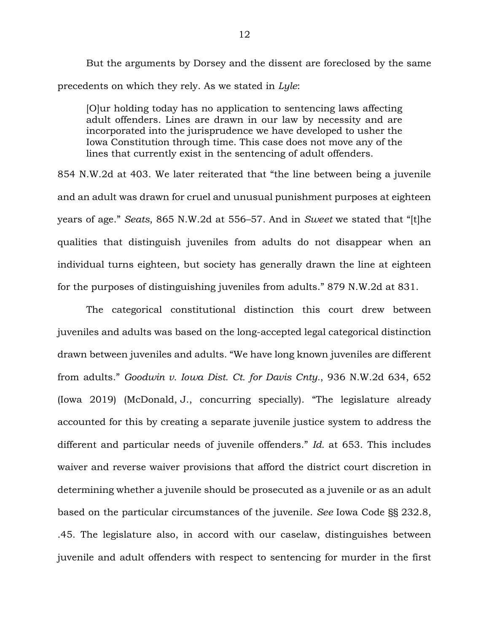But the arguments by Dorsey and the dissent are foreclosed by the same precedents on which they rely. As we stated in *Lyle*:

[O]ur holding today has no application to sentencing laws affecting adult offenders. Lines are drawn in our law by necessity and are incorporated into the jurisprudence we have developed to usher the Iowa Constitution through time. This case does not move any of the lines that currently exist in the sentencing of adult offenders.

854 N.W.2d at 403. We later reiterated that "the line between being a juvenile and an adult was drawn for cruel and unusual punishment purposes at eighteen years of age." *Seats*, 865 N.W.2d at 556–57. And in *Sweet* we stated that "[t]he qualities that distinguish juveniles from adults do not disappear when an individual turns eighteen, but society has generally drawn the line at eighteen for the purposes of distinguishing juveniles from adults." 879 N.W.2d at 831.

The categorical constitutional distinction this court drew between juveniles and adults was based on the long-accepted legal categorical distinction drawn between juveniles and adults. "We have long known juveniles are different from adults." *Goodwin v. Iowa Dist. Ct. for Davis Cnty.*, 936 N.W.2d 634, 652 (Iowa 2019) (McDonald, J., concurring specially). "The legislature already accounted for this by creating a separate juvenile justice system to address the different and particular needs of juvenile offenders." *Id.* at 653. This includes waiver and reverse waiver provisions that afford the district court discretion in determining whether a juvenile should be prosecuted as a juvenile or as an adult based on the particular circumstances of the juvenile. *See* Iowa Code §§ 232.8, .45. The legislature also, in accord with our caselaw, distinguishes between juvenile and adult offenders with respect to sentencing for murder in the first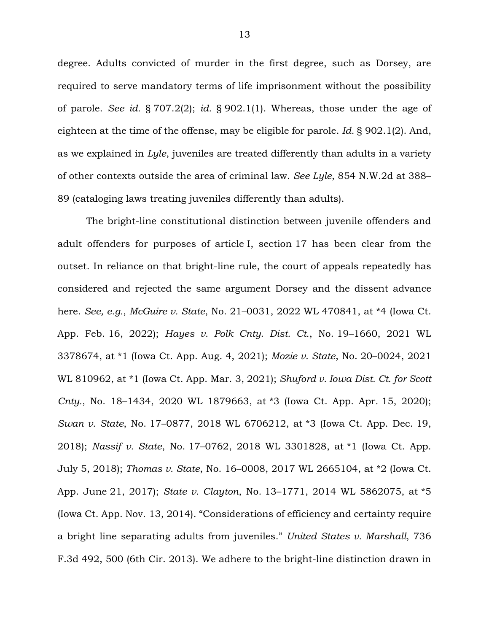degree. Adults convicted of murder in the first degree, such as Dorsey, are required to serve mandatory terms of life imprisonment without the possibility of parole. *See id.* § 707.2(2); *id.* § 902.1(1). Whereas, those under the age of eighteen at the time of the offense, may be eligible for parole. *Id.* § 902.1(2). And, as we explained in *Lyle*, juveniles are treated differently than adults in a variety of other contexts outside the area of criminal law. *See Lyle*, 854 N.W.2d at 388– 89 (cataloging laws treating juveniles differently than adults).

The bright-line constitutional distinction between juvenile offenders and adult offenders for purposes of article I, section 17 has been clear from the outset. In reliance on that bright-line rule, the court of appeals repeatedly has considered and rejected the same argument Dorsey and the dissent advance here. *See, e.g.*, *McGuire v. State*, No. 21–0031, 2022 WL 470841, at \*4 (Iowa Ct. App. Feb. 16, 2022); *Hayes v. Polk Cnty. Dist. Ct.*, No. 19–1660, 2021 WL 3378674, at \*1 (Iowa Ct. App. Aug. 4, 2021); *Mozie v. State*, No. 20–0024, 2021 WL 810962, at \*1 (Iowa Ct. App. Mar. 3, 2021); *Shuford v. Iowa Dist. Ct. for Scott Cnty.*, No. 18–1434, 2020 WL 1879663, at \*3 (Iowa Ct. App. Apr. 15, 2020); *Swan v. State*, No. 17–0877, 2018 WL 6706212, at \*3 (Iowa Ct. App. Dec. 19, 2018); *Nassif v. State*, No. 17–0762, 2018 WL 3301828, at \*1 (Iowa Ct. App. July 5, 2018); *Thomas v. State*, No. 16–0008, 2017 WL 2665104, at \*2 (Iowa Ct. App. June 21, 2017); *State v. Clayton*, No. 13–1771, 2014 WL 5862075, at \*5 (Iowa Ct. App. Nov. 13, 2014). "Considerations of efficiency and certainty require a bright line separating adults from juveniles." *United States v. Marshall*, 736 F.3d 492, 500 (6th Cir. 2013). We adhere to the bright-line distinction drawn in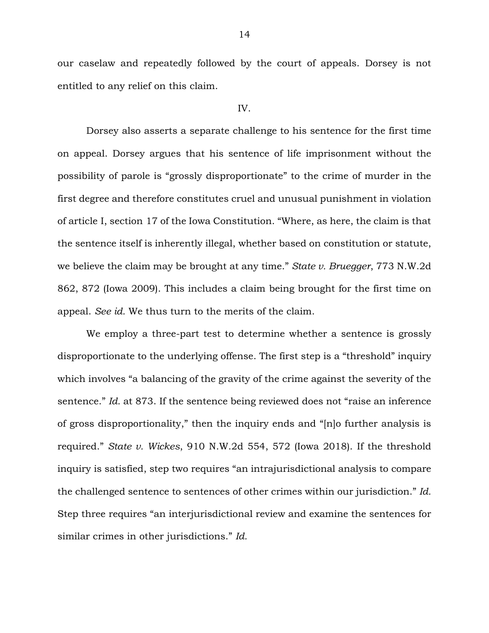our caselaw and repeatedly followed by the court of appeals. Dorsey is not entitled to any relief on this claim.

#### IV.

Dorsey also asserts a separate challenge to his sentence for the first time on appeal. Dorsey argues that his sentence of life imprisonment without the possibility of parole is "grossly disproportionate" to the crime of murder in the first degree and therefore constitutes cruel and unusual punishment in violation of article I, section 17 of the Iowa Constitution. "Where, as here, the claim is that the sentence itself is inherently illegal, whether based on constitution or statute, we believe the claim may be brought at any time." *State v. Bruegger*, 773 N.W.2d 862, 872 (Iowa 2009). This includes a claim being brought for the first time on appeal. *See id.* We thus turn to the merits of the claim.

We employ a three-part test to determine whether a sentence is grossly disproportionate to the underlying offense. The first step is a "threshold" inquiry which involves "a balancing of the gravity of the crime against the severity of the sentence." *Id.* at 873. If the sentence being reviewed does not "raise an inference of gross disproportionality," then the inquiry ends and "[n]o further analysis is required." *State v. Wickes*, 910 N.W.2d 554, 572 (Iowa 2018). If the threshold inquiry is satisfied, step two requires "an intrajurisdictional analysis to compare the challenged sentence to sentences of other crimes within our jurisdiction." *Id.*  Step three requires "an interjurisdictional review and examine the sentences for similar crimes in other jurisdictions." *Id.*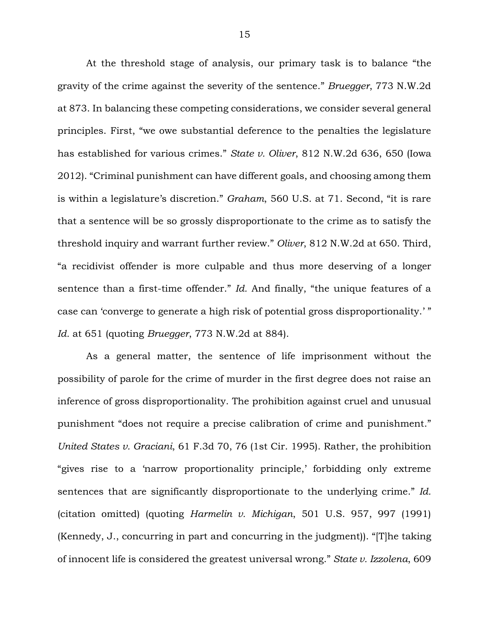At the threshold stage of analysis, our primary task is to balance "the gravity of the crime against the severity of the sentence." *Bruegger*, 773 N.W.2d at 873. In balancing these competing considerations, we consider several general principles. First, "we owe substantial deference to the penalties the legislature has established for various crimes." *State v. Oliver*, 812 N.W.2d 636, 650 (Iowa 2012). "Criminal punishment can have different goals, and choosing among them is within a legislature's discretion." *Graham*, 560 U.S. at 71. Second, "it is rare that a sentence will be so grossly disproportionate to the crime as to satisfy the threshold inquiry and warrant further review." *Oliver*, 812 N.W.2d at 650. Third, "a recidivist offender is more culpable and thus more deserving of a longer sentence than a first-time offender." *Id.* And finally, "the unique features of a case can 'converge to generate a high risk of potential gross disproportionality.' " *Id.* at 651 (quoting *Bruegger*, 773 N.W.2d at 884).

As a general matter, the sentence of life imprisonment without the possibility of parole for the crime of murder in the first degree does not raise an inference of gross disproportionality. The prohibition against cruel and unusual punishment "does not require a precise calibration of crime and punishment." *United States v. Graciani*, 61 F.3d 70, 76 (1st Cir. 1995). Rather, the prohibition "gives rise to a 'narrow proportionality principle,' forbidding only extreme sentences that are significantly disproportionate to the underlying crime." *Id.* (citation omitted) (quoting *Harmelin v. Michigan*, 501 U.S. 957, 997 (1991) (Kennedy, J., concurring in part and concurring in the judgment)). "[T]he taking of innocent life is considered the greatest universal wrong." *State v. Izzolena*, 609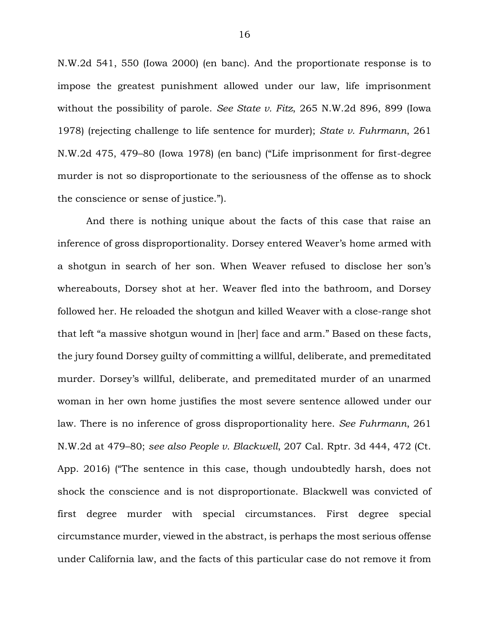N.W.2d 541, 550 (Iowa 2000) (en banc). And the proportionate response is to impose the greatest punishment allowed under our law, life imprisonment without the possibility of parole. *See State v. Fitz*, 265 N.W.2d 896, 899 (Iowa 1978) (rejecting challenge to life sentence for murder); *State v. Fuhrmann*, 261 N.W.2d 475, 479–80 (Iowa 1978) (en banc) ("Life imprisonment for first-degree murder is not so disproportionate to the seriousness of the offense as to shock the conscience or sense of justice.").

And there is nothing unique about the facts of this case that raise an inference of gross disproportionality. Dorsey entered Weaver's home armed with a shotgun in search of her son. When Weaver refused to disclose her son's whereabouts, Dorsey shot at her. Weaver fled into the bathroom, and Dorsey followed her. He reloaded the shotgun and killed Weaver with a close-range shot that left "a massive shotgun wound in [her] face and arm." Based on these facts, the jury found Dorsey guilty of committing a willful, deliberate, and premeditated murder. Dorsey's willful, deliberate, and premeditated murder of an unarmed woman in her own home justifies the most severe sentence allowed under our law. There is no inference of gross disproportionality here. *See Fuhrmann*, 261 N.W.2d at 479–80; *see also People v. Blackwell*, 207 Cal. Rptr. 3d 444, 472 (Ct. App. 2016) ("The sentence in this case, though undoubtedly harsh, does not shock the conscience and is not disproportionate. Blackwell was convicted of first degree murder with special circumstances. First degree special circumstance murder, viewed in the abstract, is perhaps the most serious offense under California law, and the facts of this particular case do not remove it from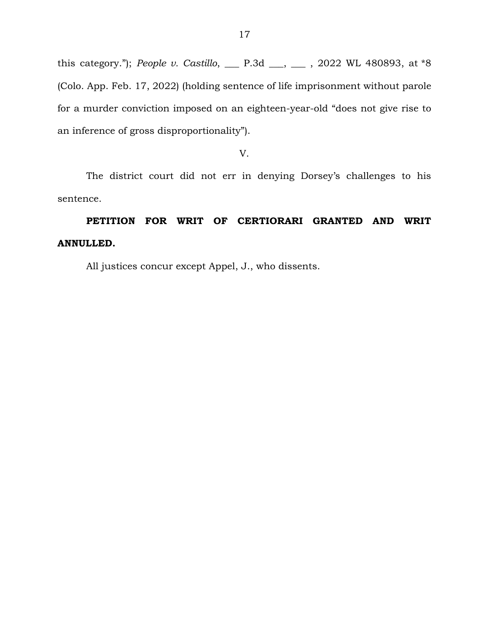this category."); *People v. Castillo*, \_\_\_ P.3d \_\_\_, \_\_\_ , 2022 WL 480893, at \*8 (Colo. App. Feb. 17, 2022) (holding sentence of life imprisonment without parole for a murder conviction imposed on an eighteen-year-old "does not give rise to an inference of gross disproportionality").

V.

The district court did not err in denying Dorsey's challenges to his sentence.

**PETITION FOR WRIT OF CERTIORARI GRANTED AND WRIT ANNULLED.**

All justices concur except Appel, J., who dissents.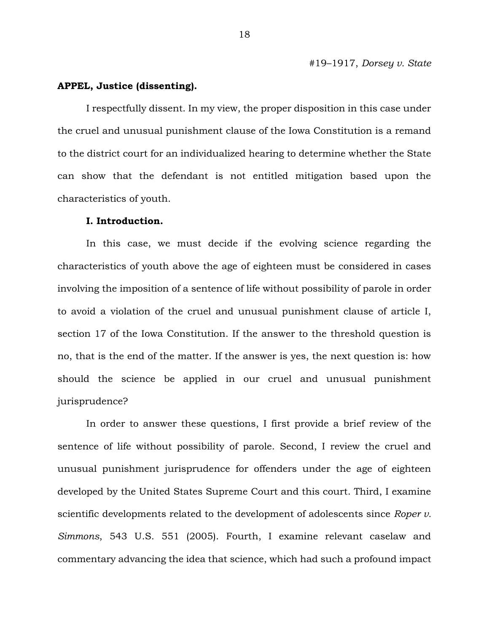#19–1917, *Dorsey v. State*

#### **APPEL, Justice (dissenting).**

I respectfully dissent. In my view, the proper disposition in this case under the cruel and unusual punishment clause of the Iowa Constitution is a remand to the district court for an individualized hearing to determine whether the State can show that the defendant is not entitled mitigation based upon the characteristics of youth.

#### **I. Introduction.**

In this case, we must decide if the evolving science regarding the characteristics of youth above the age of eighteen must be considered in cases involving the imposition of a sentence of life without possibility of parole in order to avoid a violation of the cruel and unusual punishment clause of article I, section 17 of the Iowa Constitution. If the answer to the threshold question is no, that is the end of the matter. If the answer is yes, the next question is: how should the science be applied in our cruel and unusual punishment jurisprudence?

In order to answer these questions, I first provide a brief review of the sentence of life without possibility of parole. Second, I review the cruel and unusual punishment jurisprudence for offenders under the age of eighteen developed by the United States Supreme Court and this court. Third, I examine scientific developments related to the development of adolescents since *Roper v. Simmons*, 543 U.S. 551 (2005). Fourth, I examine relevant caselaw and commentary advancing the idea that science, which had such a profound impact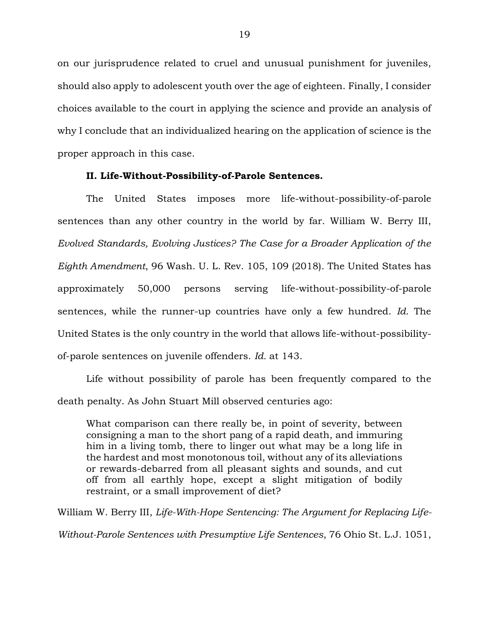on our jurisprudence related to cruel and unusual punishment for juveniles, should also apply to adolescent youth over the age of eighteen. Finally, I consider choices available to the court in applying the science and provide an analysis of why I conclude that an individualized hearing on the application of science is the proper approach in this case.

## **II. Life-Without-Possibility-of-Parole Sentences.**

The United States imposes more life-without-possibility-of-parole sentences than any other country in the world by far. William W. Berry III, *Evolved Standards, Evolving Justices? The Case for a Broader Application of the Eighth Amendment*, 96 Wash. U. L. Rev. 105, 109 (2018). The United States has approximately 50,000 persons serving life-without-possibility-of-parole sentences, while the runner-up countries have only a few hundred. *Id.* The United States is the only country in the world that allows life-without-possibilityof-parole sentences on juvenile offenders. *Id.* at 143.

Life without possibility of parole has been frequently compared to the death penalty. As John Stuart Mill observed centuries ago:

What comparison can there really be, in point of severity, between consigning a man to the short pang of a rapid death, and immuring him in a living tomb, there to linger out what may be a long life in the hardest and most monotonous toil, without any of its alleviations or rewards-debarred from all pleasant sights and sounds, and cut off from all earthly hope, except a slight mitigation of bodily restraint, or a small improvement of diet?

William W. Berry III, *Life-With-Hope Sentencing: The Argument for Replacing Life-Without-Parole Sentences with Presumptive Life Sentences*, 76 Ohio St. L.J. 1051,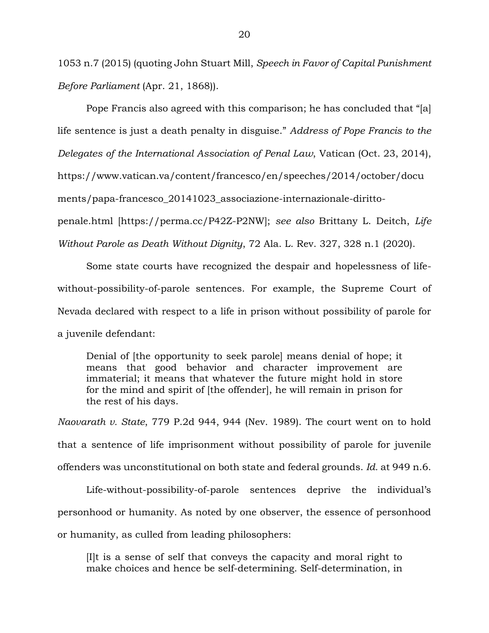1053 n.7 (2015) (quoting John Stuart Mill, *Speech in Favor of Capital Punishment Before Parliament* (Apr. 21, 1868)).

Pope Francis also agreed with this comparison; he has concluded that "[a]

life sentence is just a death penalty in disguise." *Address of Pope Francis to the* 

*Delegates of the International Association of Penal Law*, Vatican (Oct. 23, 2014),

https://www.vatican.va/content/francesco/en/speeches/2014/october/docu

ments/papa-francesco\_20141023\_associazione-internazionale-diritto-

penale.html [https://perma.cc/P42Z-P2NW]; *see also* Brittany L. Deitch, *Life* 

*Without Parole as Death Without Dignity*, 72 Ala. L. Rev. 327, 328 n.1 (2020).

Some state courts have recognized the despair and hopelessness of lifewithout-possibility-of-parole sentences. For example, the Supreme Court of Nevada declared with respect to a life in prison without possibility of parole for a juvenile defendant:

Denial of [the opportunity to seek parole] means denial of hope; it means that good behavior and character improvement are immaterial; it means that whatever the future might hold in store for the mind and spirit of [the offender], he will remain in prison for the rest of his days.

*Naovarath v. State*, 779 P.2d 944, 944 (Nev. 1989). The court went on to hold that a sentence of life imprisonment without possibility of parole for juvenile offenders was unconstitutional on both state and federal grounds. *Id.* at 949 n.6.

Life-without-possibility-of-parole sentences deprive the individual's personhood or humanity. As noted by one observer, the essence of personhood or humanity, as culled from leading philosophers:

[I]t is a sense of self that conveys the capacity and moral right to make choices and hence be self-determining. Self-determination, in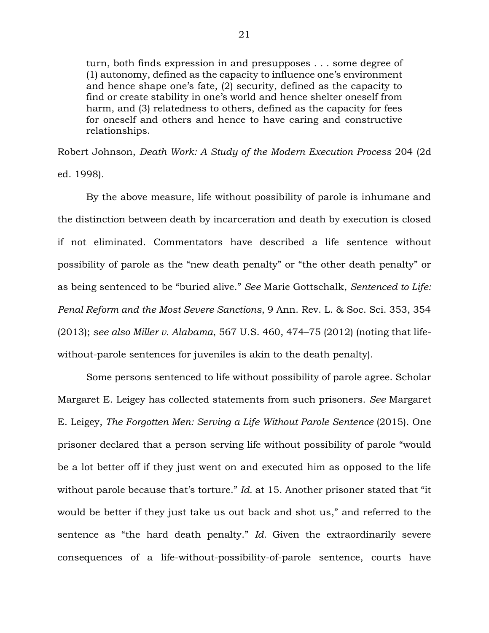turn, both finds expression in and presupposes . . . some degree of (1) autonomy, defined as the capacity to influence one's environment and hence shape one's fate, (2) security, defined as the capacity to find or create stability in one's world and hence shelter oneself from harm, and (3) relatedness to others, defined as the capacity for fees for oneself and others and hence to have caring and constructive relationships.

Robert Johnson, *Death Work: A Study of the Modern Execution Process* 204 (2d ed. 1998).

By the above measure, life without possibility of parole is inhumane and the distinction between death by incarceration and death by execution is closed if not eliminated. Commentators have described a life sentence without possibility of parole as the "new death penalty" or "the other death penalty" or as being sentenced to be "buried alive." *See* Marie Gottschalk, *Sentenced to Life: Penal Reform and the Most Severe Sanctions*, 9 Ann. Rev. L. & Soc. Sci. 353, 354 (2013); *see also Miller v. Alabama*, 567 U.S. 460, 474–75 (2012) (noting that lifewithout-parole sentences for juveniles is akin to the death penalty).

Some persons sentenced to life without possibility of parole agree. Scholar Margaret E. Leigey has collected statements from such prisoners. *See* Margaret E. Leigey, *The Forgotten Men: Serving a Life Without Parole Sentence* (2015). One prisoner declared that a person serving life without possibility of parole "would be a lot better off if they just went on and executed him as opposed to the life without parole because that's torture." *Id.* at 15. Another prisoner stated that "it would be better if they just take us out back and shot us," and referred to the sentence as "the hard death penalty." *Id.* Given the extraordinarily severe consequences of a life-without-possibility-of-parole sentence, courts have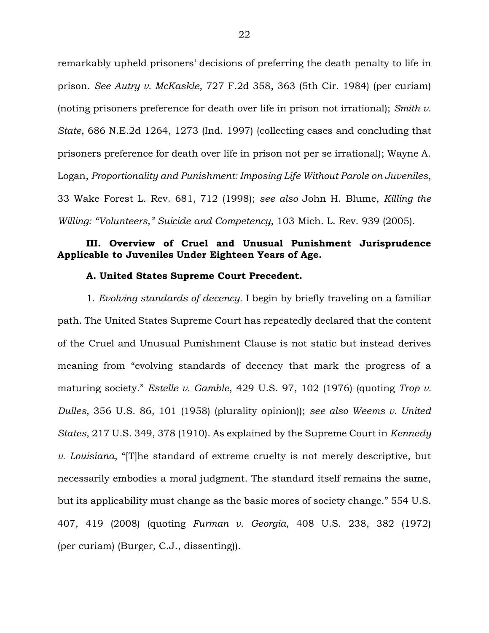remarkably upheld prisoners' decisions of preferring the death penalty to life in prison. *See Autry v. McKaskle*, 727 F.2d 358, 363 (5th Cir. 1984) (per curiam) (noting prisoners preference for death over life in prison not irrational); *Smith v. State*, 686 N.E.2d 1264, 1273 (Ind. 1997) (collecting cases and concluding that prisoners preference for death over life in prison not per se irrational); Wayne A. Logan, *Proportionality and Punishment: Imposing Life Without Parole on Juveniles*, 33 Wake Forest L. Rev. 681, 712 (1998); *see also* John H. Blume, *Killing the Willing: "Volunteers," Suicide and Competency*, 103 Mich. L. Rev. 939 (2005).

# **III. Overview of Cruel and Unusual Punishment Jurisprudence Applicable to Juveniles Under Eighteen Years of Age.**

#### **A. United States Supreme Court Precedent.**

1. *Evolving standards of decency.* I begin by briefly traveling on a familiar path. The United States Supreme Court has repeatedly declared that the content of the Cruel and Unusual Punishment Clause is not static but instead derives meaning from "evolving standards of decency that mark the progress of a maturing society." *Estelle v. Gamble*, 429 U.S. 97, 102 (1976) (quoting *Trop v. Dulles*, 356 U.S. 86, 101 (1958) (plurality opinion)); *see also Weems v. United States*, 217 U.S. 349, 378 (1910). As explained by the Supreme Court in *Kennedy v. Louisiana*, "[T]he standard of extreme cruelty is not merely descriptive, but necessarily embodies a moral judgment. The standard itself remains the same, but its applicability must change as the basic mores of society change." 554 U.S. 407, 419 (2008) (quoting *Furman v. Georgia*, 408 U.S. 238, 382 (1972) (per curiam) (Burger, C.J., dissenting)).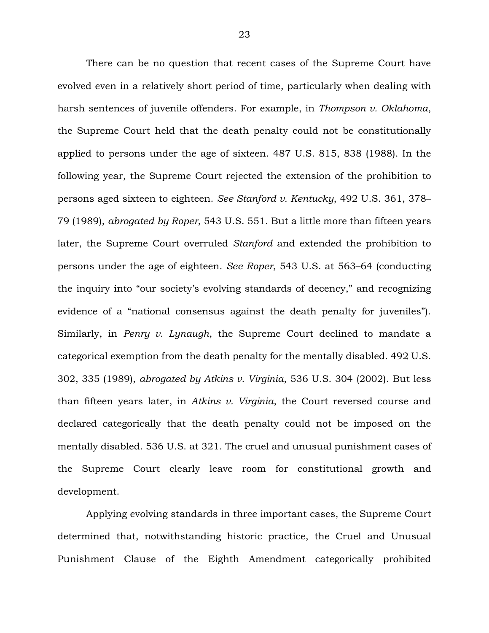There can be no question that recent cases of the Supreme Court have evolved even in a relatively short period of time, particularly when dealing with harsh sentences of juvenile offenders. For example, in *Thompson v. Oklahoma*, the Supreme Court held that the death penalty could not be constitutionally applied to persons under the age of sixteen. 487 U.S. 815, 838 (1988). In the following year, the Supreme Court rejected the extension of the prohibition to persons aged sixteen to eighteen. *See Stanford v. Kentucky*, 492 U.S. 361, 378– 79 (1989), *abrogated by Roper*, 543 U.S. 551. But a little more than fifteen years later, the Supreme Court overruled *Stanford* and extended the prohibition to persons under the age of eighteen. *See Roper*, 543 U.S. at 563–64 (conducting the inquiry into "our society's evolving standards of decency," and recognizing evidence of a "national consensus against the death penalty for juveniles"). Similarly, in *Penry v. Lynaugh*, the Supreme Court declined to mandate a categorical exemption from the death penalty for the mentally disabled. 492 U.S. 302, 335 (1989), *abrogated by Atkins v. Virginia*, 536 U.S. 304 (2002). But less than fifteen years later, in *Atkins v. Virginia*, the Court reversed course and declared categorically that the death penalty could not be imposed on the mentally disabled. 536 U.S. at 321. The cruel and unusual punishment cases of the Supreme Court clearly leave room for constitutional growth and development.

Applying evolving standards in three important cases, the Supreme Court determined that, notwithstanding historic practice, the Cruel and Unusual Punishment Clause of the Eighth Amendment categorically prohibited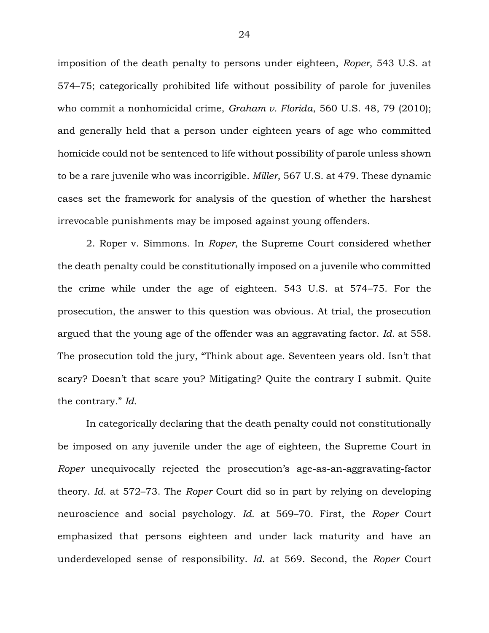imposition of the death penalty to persons under eighteen, *Roper*, 543 U.S. at 574–75; categorically prohibited life without possibility of parole for juveniles who commit a nonhomicidal crime, *Graham v. Florida*, 560 U.S. 48, 79 (2010); and generally held that a person under eighteen years of age who committed homicide could not be sentenced to life without possibility of parole unless shown to be a rare juvenile who was incorrigible. *Miller*, 567 U.S. at 479. These dynamic cases set the framework for analysis of the question of whether the harshest irrevocable punishments may be imposed against young offenders.

2. Roper v. Simmons*.* In *Roper*, the Supreme Court considered whether the death penalty could be constitutionally imposed on a juvenile who committed the crime while under the age of eighteen. 543 U.S. at 574–75. For the prosecution, the answer to this question was obvious. At trial, the prosecution argued that the young age of the offender was an aggravating factor. *Id.* at 558. The prosecution told the jury, "Think about age. Seventeen years old. Isn't that scary? Doesn't that scare you? Mitigating? Quite the contrary I submit. Quite the contrary." *Id.*

In categorically declaring that the death penalty could not constitutionally be imposed on any juvenile under the age of eighteen, the Supreme Court in *Roper* unequivocally rejected the prosecution's age-as-an-aggravating-factor theory. *Id.* at 572–73. The *Roper* Court did so in part by relying on developing neuroscience and social psychology. *Id.* at 569–70. First, the *Roper* Court emphasized that persons eighteen and under lack maturity and have an underdeveloped sense of responsibility. *Id.* at 569. Second, the *Roper* Court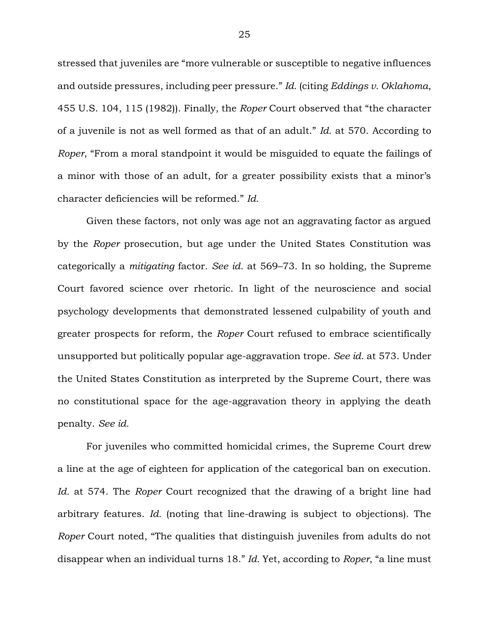stressed that juveniles are "more vulnerable or susceptible to negative influences and outside pressures, including peer pressure." *Id.* (citing *Eddings v. Oklahoma*, 455 U.S. 104, 115 (1982)). Finally, the *Roper* Court observed that "the character of a juvenile is not as well formed as that of an adult." *Id.* at 570. According to *Roper*, "From a moral standpoint it would be misguided to equate the failings of a minor with those of an adult, for a greater possibility exists that a minor's character deficiencies will be reformed." *Id.*

Given these factors, not only was age not an aggravating factor as argued by the *Roper* prosecution, but age under the United States Constitution was categorically a *mitigating* factor. *See id.* at 569–73. In so holding, the Supreme Court favored science over rhetoric. In light of the neuroscience and social psychology developments that demonstrated lessened culpability of youth and greater prospects for reform, the *Roper* Court refused to embrace scientifically unsupported but politically popular age-aggravation trope. *See id.* at 573. Under the United States Constitution as interpreted by the Supreme Court, there was no constitutional space for the age-aggravation theory in applying the death penalty. *See id.*

For juveniles who committed homicidal crimes, the Supreme Court drew a line at the age of eighteen for application of the categorical ban on execution. *Id.* at 574. The *Roper* Court recognized that the drawing of a bright line had arbitrary features. *Id.* (noting that line-drawing is subject to objections). The *Roper* Court noted, "The qualities that distinguish juveniles from adults do not disappear when an individual turns 18." *Id.* Yet, according to *Roper*, "a line must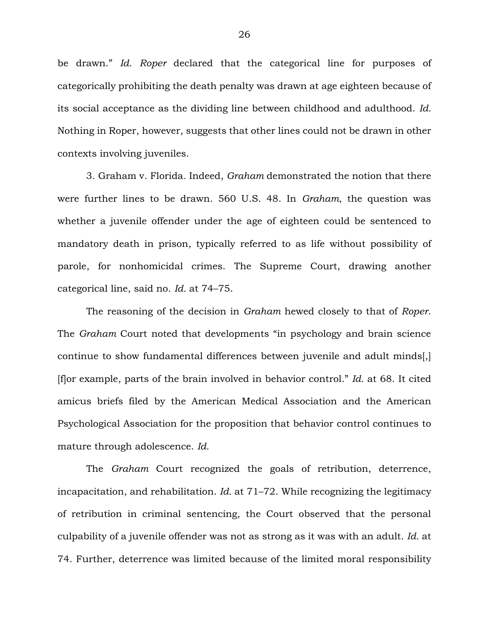be drawn." *Id. Roper* declared that the categorical line for purposes of categorically prohibiting the death penalty was drawn at age eighteen because of its social acceptance as the dividing line between childhood and adulthood. *Id.* Nothing in Roper, however, suggests that other lines could not be drawn in other contexts involving juveniles.

3. Graham v. Florida*.* Indeed, *Graham* demonstrated the notion that there were further lines to be drawn. 560 U.S. 48. In *Graham*, the question was whether a juvenile offender under the age of eighteen could be sentenced to mandatory death in prison, typically referred to as life without possibility of parole, for nonhomicidal crimes. The Supreme Court, drawing another categorical line, said no. *Id.* at 74–75.

The reasoning of the decision in *Graham* hewed closely to that of *Roper*. The *Graham* Court noted that developments "in psychology and brain science continue to show fundamental differences between juvenile and adult minds[,] [f]or example, parts of the brain involved in behavior control." *Id.* at 68. It cited amicus briefs filed by the American Medical Association and the American Psychological Association for the proposition that behavior control continues to mature through adolescence. *Id.* 

The *Graham* Court recognized the goals of retribution, deterrence, incapacitation, and rehabilitation. *Id.* at 71–72. While recognizing the legitimacy of retribution in criminal sentencing, the Court observed that the personal culpability of a juvenile offender was not as strong as it was with an adult. *Id.* at 74. Further, deterrence was limited because of the limited moral responsibility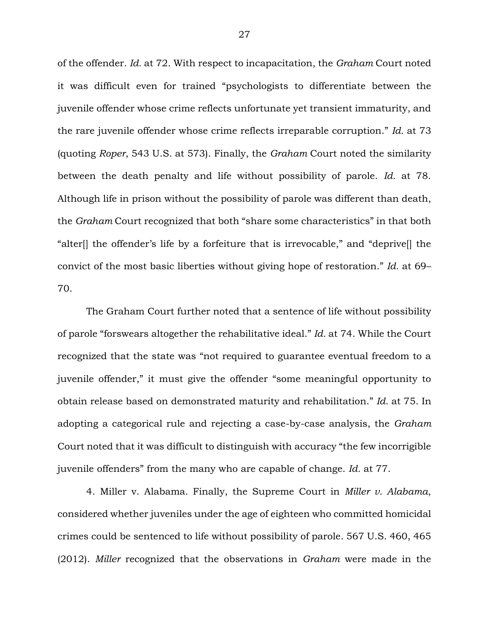of the offender. *Id.* at 72. With respect to incapacitation, the *Graham* Court noted it was difficult even for trained "psychologists to differentiate between the juvenile offender whose crime reflects unfortunate yet transient immaturity, and the rare juvenile offender whose crime reflects irreparable corruption." *Id.* at 73 (quoting *Roper*, 543 U.S. at 573). Finally, the *Graham* Court noted the similarity between the death penalty and life without possibility of parole. *Id.* at 78. Although life in prison without the possibility of parole was different than death, the *Graham* Court recognized that both "share some characteristics" in that both "alter[] the offender's life by a forfeiture that is irrevocable," and "deprive[] the convict of the most basic liberties without giving hope of restoration." *Id.* at 69– 70.

The Graham Court further noted that a sentence of life without possibility of parole "forswears altogether the rehabilitative ideal." *Id.* at 74. While the Court recognized that the state was "not required to guarantee eventual freedom to a juvenile offender," it must give the offender "some meaningful opportunity to obtain release based on demonstrated maturity and rehabilitation." *Id.* at 75. In adopting a categorical rule and rejecting a case-by-case analysis, the *Graham* Court noted that it was difficult to distinguish with accuracy "the few incorrigible juvenile offenders" from the many who are capable of change. *Id.* at 77.

4. Miller v. Alabama*.* Finally, the Supreme Court in *Miller v. Alabama*, considered whether juveniles under the age of eighteen who committed homicidal crimes could be sentenced to life without possibility of parole. 567 U.S. 460, 465 (2012). *Miller* recognized that the observations in *Graham* were made in the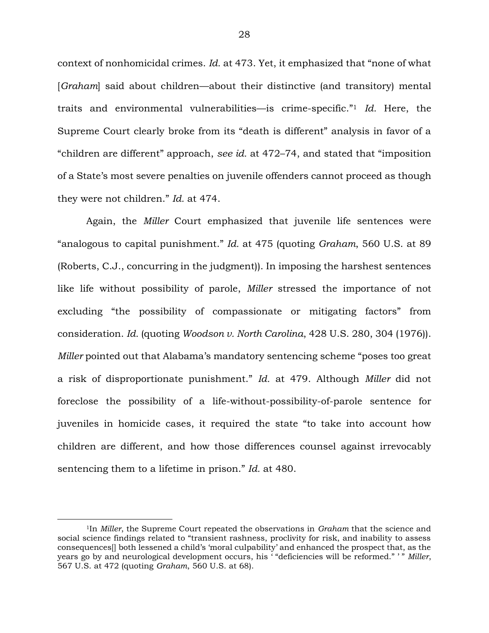context of nonhomicidal crimes. *Id.* at 473. Yet, it emphasized that "none of what [*Graham*] said about children—about their distinctive (and transitory) mental traits and environmental vulnerabilities—is crime-specific."<sup>1</sup> *Id.* Here, the Supreme Court clearly broke from its "death is different" analysis in favor of a "children are different" approach, *see id.* at 472–74, and stated that "imposition of a State's most severe penalties on juvenile offenders cannot proceed as though they were not children." *Id.* at 474.

Again, the *Miller* Court emphasized that juvenile life sentences were "analogous to capital punishment." *Id.* at 475 (quoting *Graham*, 560 U.S. at 89 (Roberts, C.J., concurring in the judgment)). In imposing the harshest sentences like life without possibility of parole, *Miller* stressed the importance of not excluding "the possibility of compassionate or mitigating factors" from consideration. *Id.* (quoting *Woodson v. North Carolina*, 428 U.S. 280, 304 (1976)). *Miller* pointed out that Alabama's mandatory sentencing scheme "poses too great a risk of disproportionate punishment." *Id.* at 479. Although *Miller* did not foreclose the possibility of a life-without-possibility-of-parole sentence for juveniles in homicide cases, it required the state "to take into account how children are different, and how those differences counsel against irrevocably sentencing them to a lifetime in prison." *Id.* at 480.

 $\overline{a}$ 

<sup>1</sup>In *Miller*, the Supreme Court repeated the observations in *Graham* that the science and social science findings related to "transient rashness, proclivity for risk, and inability to assess consequences[] both lessened a child's 'moral culpability' and enhanced the prospect that, as the years go by and neurological development occurs, his ' "deficiencies will be reformed." ' " *Miller*, 567 U.S. at 472 (quoting *Graham*, 560 U.S. at 68).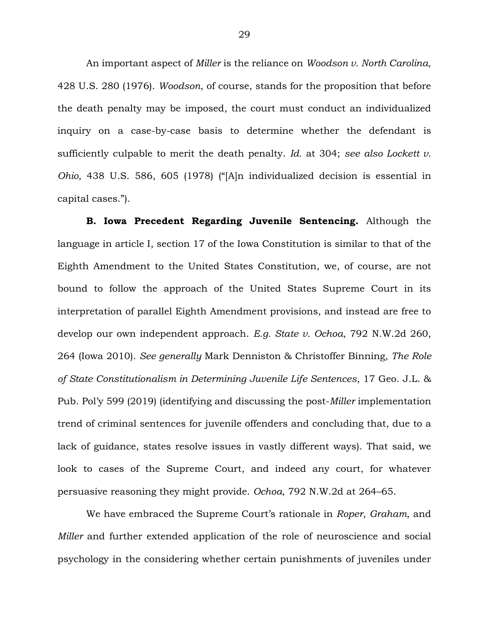An important aspect of *Miller* is the reliance on *Woodson v. North Carolina*, 428 U.S. 280 (1976). *Woodson*, of course, stands for the proposition that before the death penalty may be imposed, the court must conduct an individualized inquiry on a case-by-case basis to determine whether the defendant is sufficiently culpable to merit the death penalty. *Id.* at 304; *see also Lockett v. Ohio*, 438 U.S. 586, 605 (1978) ("[A]n individualized decision is essential in capital cases.").

**B. Iowa Precedent Regarding Juvenile Sentencing.** Although the language in article I, section 17 of the Iowa Constitution is similar to that of the Eighth Amendment to the United States Constitution, we, of course, are not bound to follow the approach of the United States Supreme Court in its interpretation of parallel Eighth Amendment provisions, and instead are free to develop our own independent approach. *E.g. State v. Ochoa*, 792 N.W.2d 260, 264 (Iowa 2010). *See generally* Mark Denniston & Christoffer Binning, *The Role of State Constitutionalism in Determining Juvenile Life Sentences*, 17 Geo. J.L. & Pub. Pol'y 599 (2019) (identifying and discussing the post-*Miller* implementation trend of criminal sentences for juvenile offenders and concluding that, due to a lack of guidance, states resolve issues in vastly different ways). That said, we look to cases of the Supreme Court, and indeed any court, for whatever persuasive reasoning they might provide. *Ochoa*, 792 N.W.2d at 264–65.

We have embraced the Supreme Court's rationale in *Roper*, *Graham*, and *Miller* and further extended application of the role of neuroscience and social psychology in the considering whether certain punishments of juveniles under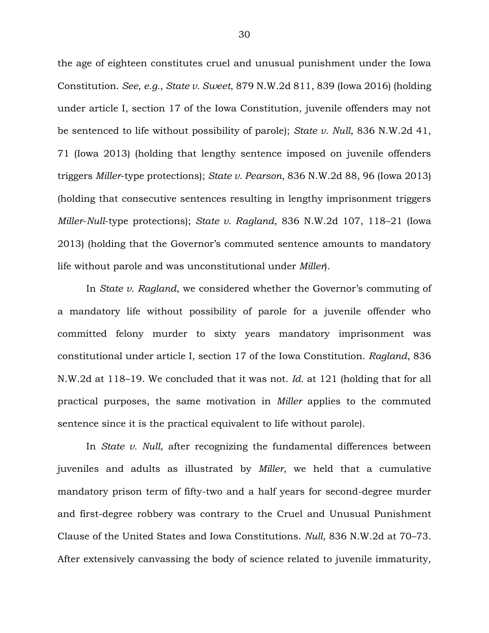the age of eighteen constitutes cruel and unusual punishment under the Iowa Constitution. *See, e.g.*, *State v. Sweet*, 879 N.W.2d 811, 839 (Iowa 2016) (holding under article I, section 17 of the Iowa Constitution, juvenile offenders may not be sentenced to life without possibility of parole); *State v. Null*, 836 N.W.2d 41, 71 (Iowa 2013) (holding that lengthy sentence imposed on juvenile offenders triggers *Miller*-type protections); *State v. Pearson*, 836 N.W.2d 88, 96 (Iowa 2013) (holding that consecutive sentences resulting in lengthy imprisonment triggers *Miller*-*Null*-type protections); *State v. Ragland*, 836 N.W.2d 107, 118–21 (Iowa 2013) (holding that the Governor's commuted sentence amounts to mandatory life without parole and was unconstitutional under *Miller*).

In *State v. Ragland*, we considered whether the Governor's commuting of a mandatory life without possibility of parole for a juvenile offender who committed felony murder to sixty years mandatory imprisonment was constitutional under article I, section 17 of the Iowa Constitution. *Ragland*, 836 N.W.2d at 118–19. We concluded that it was not. *Id.* at 121 (holding that for all practical purposes, the same motivation in *Miller* applies to the commuted sentence since it is the practical equivalent to life without parole).

In *State v. Null*, after recognizing the fundamental differences between juveniles and adults as illustrated by *Miller*, we held that a cumulative mandatory prison term of fifty-two and a half years for second-degree murder and first-degree robbery was contrary to the Cruel and Unusual Punishment Clause of the United States and Iowa Constitutions. *Null*, 836 N.W.2d at 70–73. After extensively canvassing the body of science related to juvenile immaturity,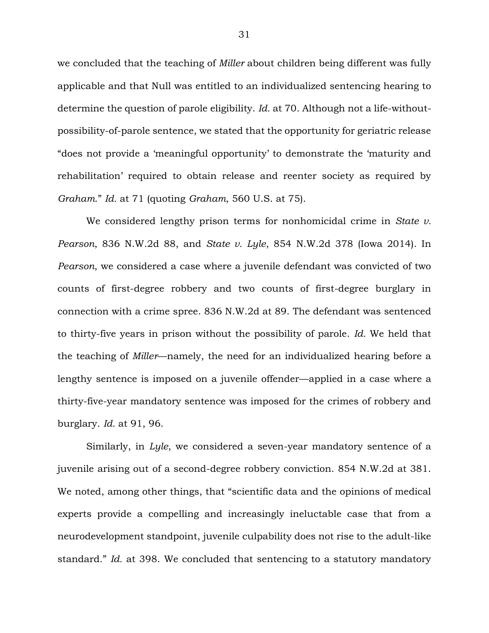we concluded that the teaching of *Miller* about children being different was fully applicable and that Null was entitled to an individualized sentencing hearing to determine the question of parole eligibility. *Id.* at 70. Although not a life-withoutpossibility-of-parole sentence, we stated that the opportunity for geriatric release "does not provide a 'meaningful opportunity' to demonstrate the 'maturity and rehabilitation' required to obtain release and reenter society as required by *Graham*." *Id.* at 71 (quoting *Graham*, 560 U.S. at 75).

We considered lengthy prison terms for nonhomicidal crime in *State v. Pearson*, 836 N.W.2d 88, and *State v. Lyle*, 854 N.W.2d 378 (Iowa 2014). In *Pearson*, we considered a case where a juvenile defendant was convicted of two counts of first-degree robbery and two counts of first-degree burglary in connection with a crime spree. 836 N.W.2d at 89. The defendant was sentenced to thirty-five years in prison without the possibility of parole. *Id.* We held that the teaching of *Miller*—namely, the need for an individualized hearing before a lengthy sentence is imposed on a juvenile offender—applied in a case where a thirty-five-year mandatory sentence was imposed for the crimes of robbery and burglary. *Id.* at 91, 96.

Similarly, in *Lyle*, we considered a seven-year mandatory sentence of a juvenile arising out of a second-degree robbery conviction. 854 N.W.2d at 381. We noted, among other things, that "scientific data and the opinions of medical experts provide a compelling and increasingly ineluctable case that from a neurodevelopment standpoint, juvenile culpability does not rise to the adult-like standard." *Id.* at 398. We concluded that sentencing to a statutory mandatory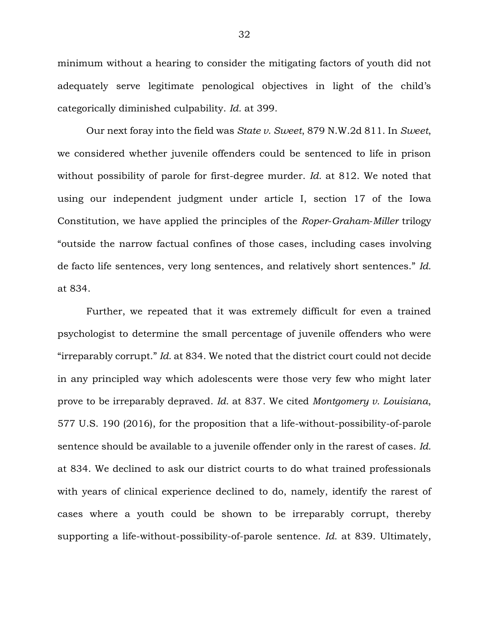minimum without a hearing to consider the mitigating factors of youth did not adequately serve legitimate penological objectives in light of the child's categorically diminished culpability. *Id.* at 399.

Our next foray into the field was *State v. Sweet*, 879 N.W.2d 811. In *Sweet*, we considered whether juvenile offenders could be sentenced to life in prison without possibility of parole for first-degree murder. *Id.* at 812. We noted that using our independent judgment under article I, section 17 of the Iowa Constitution, we have applied the principles of the *Roper*-*Graham*-*Miller* trilogy "outside the narrow factual confines of those cases, including cases involving de facto life sentences, very long sentences, and relatively short sentences." *Id.* at 834.

Further, we repeated that it was extremely difficult for even a trained psychologist to determine the small percentage of juvenile offenders who were "irreparably corrupt." *Id.* at 834. We noted that the district court could not decide in any principled way which adolescents were those very few who might later prove to be irreparably depraved. *Id.* at 837. We cited *Montgomery v. Louisiana*, 577 U.S. 190 (2016), for the proposition that a life-without-possibility-of-parole sentence should be available to a juvenile offender only in the rarest of cases. *Id.* at 834. We declined to ask our district courts to do what trained professionals with years of clinical experience declined to do, namely, identify the rarest of cases where a youth could be shown to be irreparably corrupt, thereby supporting a life-without-possibility-of-parole sentence. *Id.* at 839. Ultimately,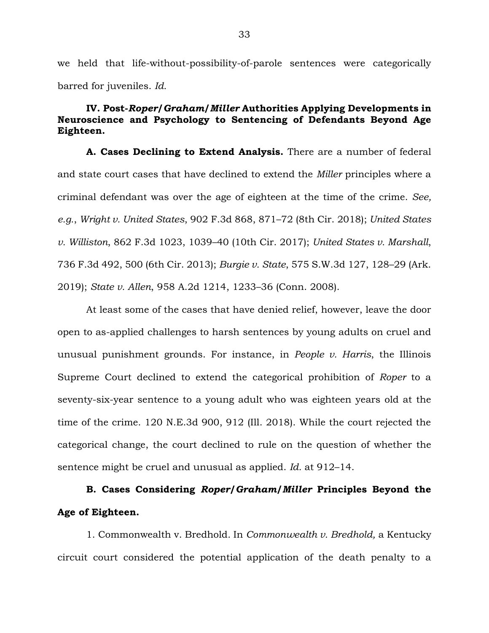we held that life-without-possibility-of-parole sentences were categorically barred for juveniles. *Id.*

# **IV. Post-***Roper***/***Graham***/***Miller* **Authorities Applying Developments in Neuroscience and Psychology to Sentencing of Defendants Beyond Age Eighteen.**

**A. Cases Declining to Extend Analysis.** There are a number of federal and state court cases that have declined to extend the *Miller* principles where a criminal defendant was over the age of eighteen at the time of the crime. *See, e.g.*, *Wright v. United States*, 902 F.3d 868, 871–72 (8th Cir. 2018); *United States v. Williston*, 862 F.3d 1023, 1039–40 (10th Cir. 2017); *United States v. Marshall*, 736 F.3d 492, 500 (6th Cir. 2013); *Burgie v. State*, 575 S.W.3d 127, 128–29 (Ark. 2019); *State v. Allen*, 958 A.2d 1214, 1233–36 (Conn. 2008).

At least some of the cases that have denied relief, however, leave the door open to as-applied challenges to harsh sentences by young adults on cruel and unusual punishment grounds. For instance, in *People v. Harris*, the Illinois Supreme Court declined to extend the categorical prohibition of *Roper* to a seventy-six-year sentence to a young adult who was eighteen years old at the time of the crime. 120 N.E.3d 900, 912 (Ill. 2018). While the court rejected the categorical change, the court declined to rule on the question of whether the sentence might be cruel and unusual as applied. *Id.* at 912–14.

# **B. Cases Considering** *Roper***/***Graham***/***Miller* **Principles Beyond the Age of Eighteen.**

1. Commonwealth v. Bredhold*.* In *Commonwealth v. Bredhold,* a Kentucky circuit court considered the potential application of the death penalty to a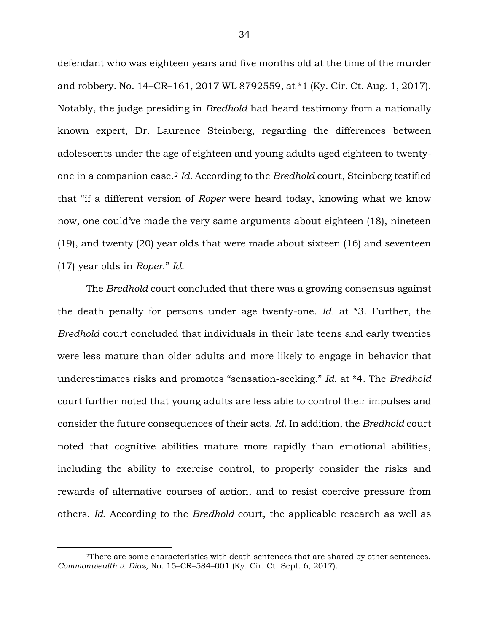defendant who was eighteen years and five months old at the time of the murder and robbery. No. 14–CR–161, 2017 WL 8792559, at \*1 (Ky. Cir. Ct. Aug. 1, 2017). Notably, the judge presiding in *Bredhold* had heard testimony from a nationally known expert, Dr. Laurence Steinberg, regarding the differences between adolescents under the age of eighteen and young adults aged eighteen to twentyone in a companion case.<sup>2</sup> *Id.* According to the *Bredhold* court, Steinberg testified that "if a different version of *Roper* were heard today, knowing what we know now, one could've made the very same arguments about eighteen (18), nineteen (19), and twenty (20) year olds that were made about sixteen (16) and seventeen (17) year olds in *Roper*." *Id.*

The *Bredhold* court concluded that there was a growing consensus against the death penalty for persons under age twenty-one. *Id.* at \*3. Further, the *Bredhold* court concluded that individuals in their late teens and early twenties were less mature than older adults and more likely to engage in behavior that underestimates risks and promotes "sensation-seeking." *Id.* at \*4. The *Bredhold* court further noted that young adults are less able to control their impulses and consider the future consequences of their acts. *Id.* In addition, the *Bredhold* court noted that cognitive abilities mature more rapidly than emotional abilities, including the ability to exercise control, to properly consider the risks and rewards of alternative courses of action, and to resist coercive pressure from others. *Id.* According to the *Bredhold* court, the applicable research as well as

 $\overline{a}$ 

<sup>2</sup>There are some characteristics with death sentences that are shared by other sentences. *Commonwealth v. Diaz*, No. 15–CR–584–001 (Ky. Cir. Ct. Sept. 6, 2017).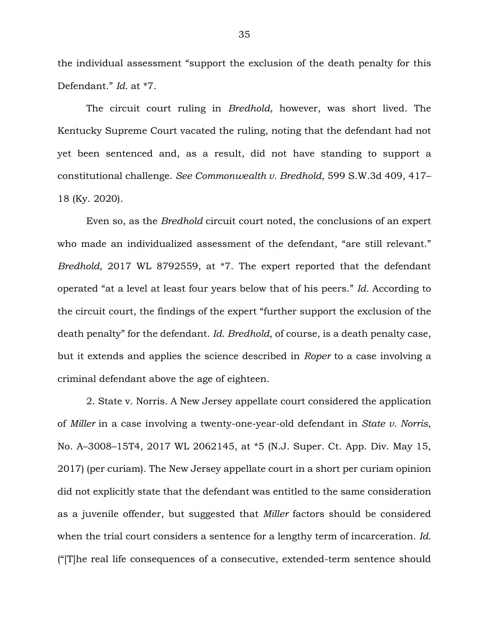the individual assessment "support the exclusion of the death penalty for this Defendant." *Id.* at \*7.

The circuit court ruling in *Bredhold*, however, was short lived. The Kentucky Supreme Court vacated the ruling, noting that the defendant had not yet been sentenced and, as a result, did not have standing to support a constitutional challenge. *See Commonwealth v. Bredhold*, 599 S.W.3d 409, 417– 18 (Ky. 2020).

Even so, as the *Bredhold* circuit court noted, the conclusions of an expert who made an individualized assessment of the defendant, "are still relevant." *Bredhold*, 2017 WL 8792559, at \*7. The expert reported that the defendant operated "at a level at least four years below that of his peers." *Id.* According to the circuit court, the findings of the expert "further support the exclusion of the death penalty" for the defendant. *Id. Bredhold*, of course, is a death penalty case, but it extends and applies the science described in *Roper* to a case involving a criminal defendant above the age of eighteen.

2. State v. Norris*.* A New Jersey appellate court considered the application of *Miller* in a case involving a twenty-one-year-old defendant in *State v. Norris*, No. A–3008–15T4, 2017 WL 2062145, at \*5 (N.J. Super. Ct. App. Div. May 15, 2017) (per curiam). The New Jersey appellate court in a short per curiam opinion did not explicitly state that the defendant was entitled to the same consideration as a juvenile offender, but suggested that *Miller* factors should be considered when the trial court considers a sentence for a lengthy term of incarceration. *Id.* ("[T]he real life consequences of a consecutive, extended-term sentence should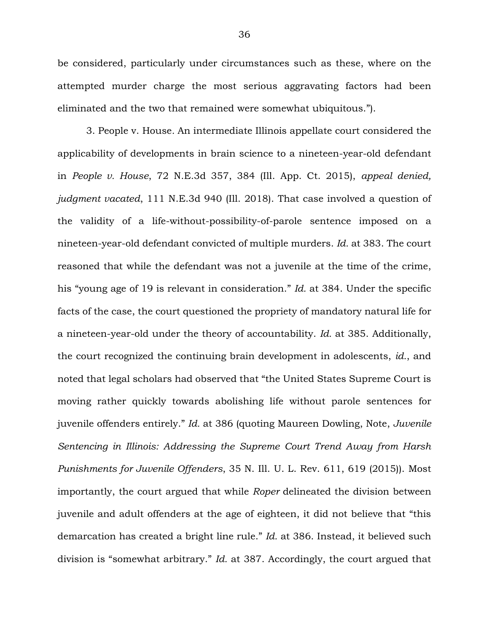be considered, particularly under circumstances such as these, where on the attempted murder charge the most serious aggravating factors had been eliminated and the two that remained were somewhat ubiquitous.").

3. People v. House*.* An intermediate Illinois appellate court considered the applicability of developments in brain science to a nineteen-year-old defendant in *People v. House*, 72 N.E.3d 357, 384 (Ill. App. Ct. 2015), *appeal denied, judgment vacated*, 111 N.E.3d 940 (Ill. 2018). That case involved a question of the validity of a life-without-possibility-of-parole sentence imposed on a nineteen-year-old defendant convicted of multiple murders. *Id.* at 383. The court reasoned that while the defendant was not a juvenile at the time of the crime, his "young age of 19 is relevant in consideration." *Id.* at 384. Under the specific facts of the case, the court questioned the propriety of mandatory natural life for a nineteen-year-old under the theory of accountability. *Id.* at 385. Additionally, the court recognized the continuing brain development in adolescents, *id.*, and noted that legal scholars had observed that "the United States Supreme Court is moving rather quickly towards abolishing life without parole sentences for juvenile offenders entirely." *Id.* at 386 (quoting Maureen Dowling, Note, *Juvenile Sentencing in Illinois: Addressing the Supreme Court Trend Away from Harsh Punishments for Juvenile Offenders*, 35 N. Ill. U. L. Rev. 611, 619 (2015)). Most importantly, the court argued that while *Roper* delineated the division between juvenile and adult offenders at the age of eighteen, it did not believe that "this demarcation has created a bright line rule." *Id.* at 386. Instead, it believed such division is "somewhat arbitrary." *Id.* at 387. Accordingly, the court argued that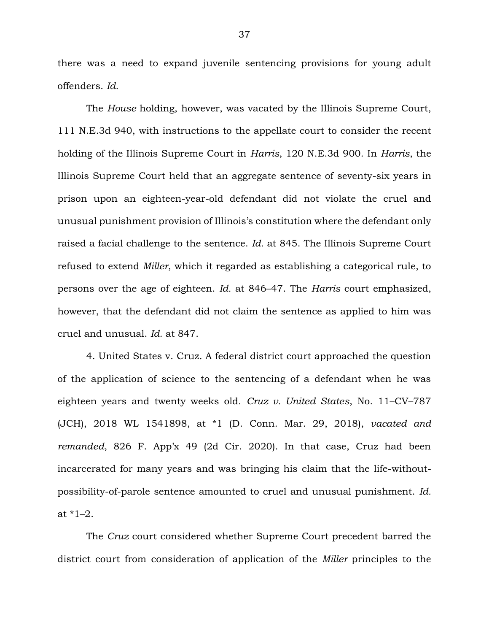there was a need to expand juvenile sentencing provisions for young adult offenders. *Id.*

The *House* holding, however, was vacated by the Illinois Supreme Court, 111 N.E.3d 940, with instructions to the appellate court to consider the recent holding of the Illinois Supreme Court in *Harris*, 120 N.E.3d 900. In *Harris*, the Illinois Supreme Court held that an aggregate sentence of seventy-six years in prison upon an eighteen-year-old defendant did not violate the cruel and unusual punishment provision of Illinois's constitution where the defendant only raised a facial challenge to the sentence. *Id.* at 845. The Illinois Supreme Court refused to extend *Miller*, which it regarded as establishing a categorical rule, to persons over the age of eighteen. *Id.* at 846–47. The *Harris* court emphasized, however, that the defendant did not claim the sentence as applied to him was cruel and unusual. *Id.* at 847.

4. United States v. Cruz*.* A federal district court approached the question of the application of science to the sentencing of a defendant when he was eighteen years and twenty weeks old. *Cruz v. United States*, No. 11–CV–787 (JCH), 2018 WL 1541898, at \*1 (D. Conn. Mar. 29, 2018), *vacated and remanded*, 826 F. App'x 49 (2d Cir. 2020). In that case, Cruz had been incarcerated for many years and was bringing his claim that the life-withoutpossibility-of-parole sentence amounted to cruel and unusual punishment. *Id.* at \*1–2.

The *Cruz* court considered whether Supreme Court precedent barred the district court from consideration of application of the *Miller* principles to the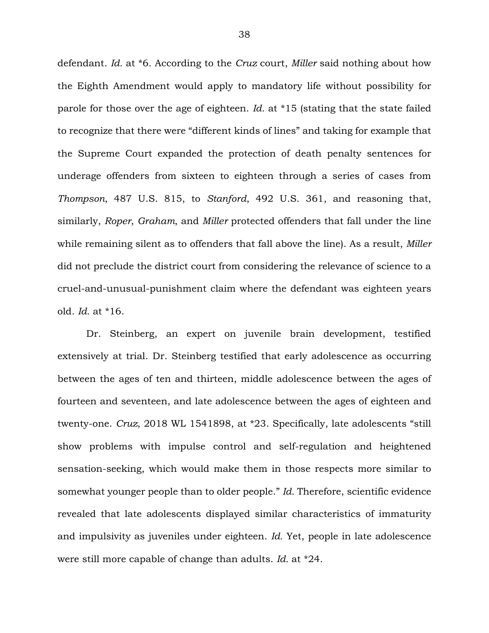defendant. *Id.* at \*6. According to the *Cruz* court, *Miller* said nothing about how the Eighth Amendment would apply to mandatory life without possibility for parole for those over the age of eighteen. *Id.* at \*15 (stating that the state failed to recognize that there were "different kinds of lines" and taking for example that the Supreme Court expanded the protection of death penalty sentences for underage offenders from sixteen to eighteen through a series of cases from *Thompson*, 487 U.S. 815, to *Stanford*, 492 U.S. 361, and reasoning that, similarly, *Roper*, *Graham*, and *Miller* protected offenders that fall under the line while remaining silent as to offenders that fall above the line). As a result, *Miller* did not preclude the district court from considering the relevance of science to a cruel-and-unusual-punishment claim where the defendant was eighteen years old. *Id.* at \*16.

Dr. Steinberg, an expert on juvenile brain development, testified extensively at trial. Dr. Steinberg testified that early adolescence as occurring between the ages of ten and thirteen, middle adolescence between the ages of fourteen and seventeen, and late adolescence between the ages of eighteen and twenty-one. *Cruz*, 2018 WL 1541898, at \*23. Specifically, late adolescents "still show problems with impulse control and self-regulation and heightened sensation-seeking, which would make them in those respects more similar to somewhat younger people than to older people." *Id.* Therefore, scientific evidence revealed that late adolescents displayed similar characteristics of immaturity and impulsivity as juveniles under eighteen. *Id.* Yet, people in late adolescence were still more capable of change than adults. *Id.* at \*24.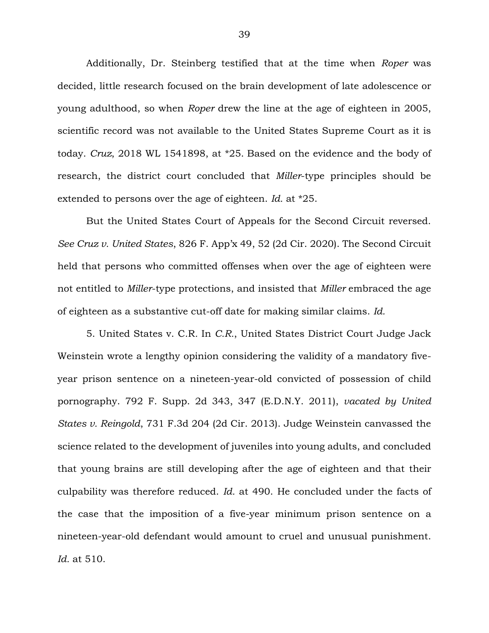Additionally, Dr. Steinberg testified that at the time when *Roper* was decided, little research focused on the brain development of late adolescence or young adulthood, so when *Roper* drew the line at the age of eighteen in 2005, scientific record was not available to the United States Supreme Court as it is today. *Cruz*, 2018 WL 1541898, at \*25. Based on the evidence and the body of research, the district court concluded that *Miller*-type principles should be extended to persons over the age of eighteen. *Id.* at \*25.

But the United States Court of Appeals for the Second Circuit reversed. *See Cruz v. United States*, 826 F. App'x 49, 52 (2d Cir. 2020). The Second Circuit held that persons who committed offenses when over the age of eighteen were not entitled to *Miller*-type protections, and insisted that *Miller* embraced the age of eighteen as a substantive cut-off date for making similar claims. *Id.*

5. United States v. C.R*.* In *C.R.*, United States District Court Judge Jack Weinstein wrote a lengthy opinion considering the validity of a mandatory fiveyear prison sentence on a nineteen-year-old convicted of possession of child pornography. 792 F. Supp. 2d 343, 347 (E.D.N.Y. 2011), *vacated by United States v. Reingold*, 731 F.3d 204 (2d Cir. 2013). Judge Weinstein canvassed the science related to the development of juveniles into young adults, and concluded that young brains are still developing after the age of eighteen and that their culpability was therefore reduced. *Id.* at 490. He concluded under the facts of the case that the imposition of a five-year minimum prison sentence on a nineteen-year-old defendant would amount to cruel and unusual punishment. *Id.* at 510.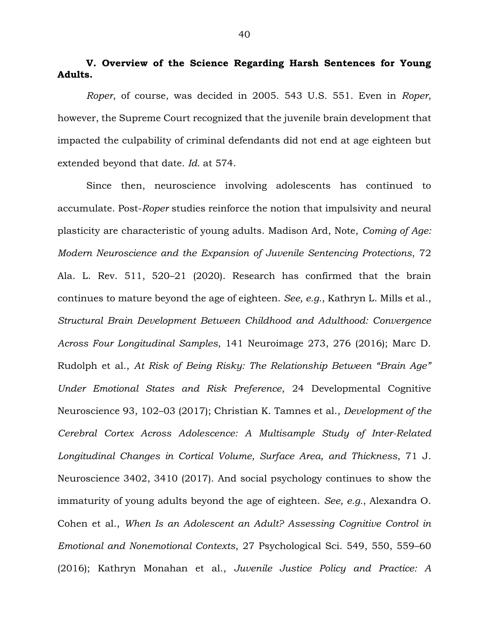**V. Overview of the Science Regarding Harsh Sentences for Young Adults.**

*Roper*, of course, was decided in 2005. 543 U.S. 551. Even in *Roper*, however, the Supreme Court recognized that the juvenile brain development that impacted the culpability of criminal defendants did not end at age eighteen but extended beyond that date. *Id.* at 574.

Since then, neuroscience involving adolescents has continued to accumulate. Post-*Roper* studies reinforce the notion that impulsivity and neural plasticity are characteristic of young adults. Madison Ard, Note, *Coming of Age: Modern Neuroscience and the Expansion of Juvenile Sentencing Protections*, 72 Ala. L. Rev. 511, 520–21 (2020). Research has confirmed that the brain continues to mature beyond the age of eighteen. *See, e.g.*, Kathryn L. Mills et al., *Structural Brain Development Between Childhood and Adulthood: Convergence Across Four Longitudinal Samples*, 141 Neuroimage 273, 276 (2016); Marc D. Rudolph et al., *At Risk of Being Risky: The Relationship Between "Brain Age" Under Emotional States and Risk Preference*, 24 Developmental Cognitive Neuroscience 93, 102–03 (2017); Christian K. Tamnes et al., *Development of the Cerebral Cortex Across Adolescence: A Multisample Study of Inter-Related Longitudinal Changes in Cortical Volume, Surface Area, and Thickness*, 71 J. Neuroscience 3402, 3410 (2017). And social psychology continues to show the immaturity of young adults beyond the age of eighteen. *See, e.g.*, Alexandra O. Cohen et al., *When Is an Adolescent an Adult? Assessing Cognitive Control in Emotional and Nonemotional Contexts*, 27 Psychological Sci. 549, 550, 559–60 (2016); Kathryn Monahan et al., *Juvenile Justice Policy and Practice: A*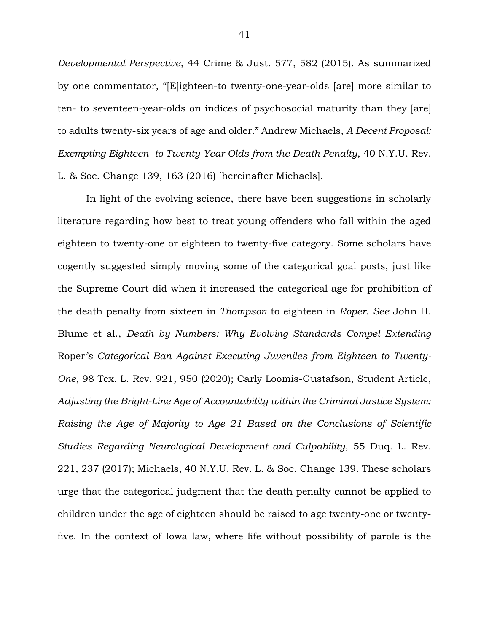*Developmental Perspective*, 44 Crime & Just. 577, 582 (2015). As summarized by one commentator, "[E]ighteen-to twenty-one-year-olds [are] more similar to ten- to seventeen-year-olds on indices of psychosocial maturity than they [are] to adults twenty-six years of age and older." Andrew Michaels, *A Decent Proposal: Exempting Eighteen- to Twenty-Year-Olds from the Death Penalty*, 40 N.Y.U. Rev. L. & Soc. Change 139, 163 (2016) [hereinafter Michaels].

In light of the evolving science, there have been suggestions in scholarly literature regarding how best to treat young offenders who fall within the aged eighteen to twenty-one or eighteen to twenty-five category. Some scholars have cogently suggested simply moving some of the categorical goal posts, just like the Supreme Court did when it increased the categorical age for prohibition of the death penalty from sixteen in *Thompson* to eighteen in *Roper*. *See* John H. Blume et al., *Death by Numbers: Why Evolving Standards Compel Extending*  Roper*'s Categorical Ban Against Executing Juveniles from Eighteen to Twenty-One*, 98 Tex. L. Rev. 921, 950 (2020); Carly Loomis-Gustafson, Student Article, *Adjusting the Bright-Line Age of Accountability within the Criminal Justice System: Raising the Age of Majority to Age 21 Based on the Conclusions of Scientific Studies Regarding Neurological Development and Culpability*, 55 Duq. L. Rev. 221, 237 (2017); Michaels, 40 N.Y.U. Rev. L. & Soc. Change 139. These scholars urge that the categorical judgment that the death penalty cannot be applied to children under the age of eighteen should be raised to age twenty-one or twentyfive. In the context of Iowa law, where life without possibility of parole is the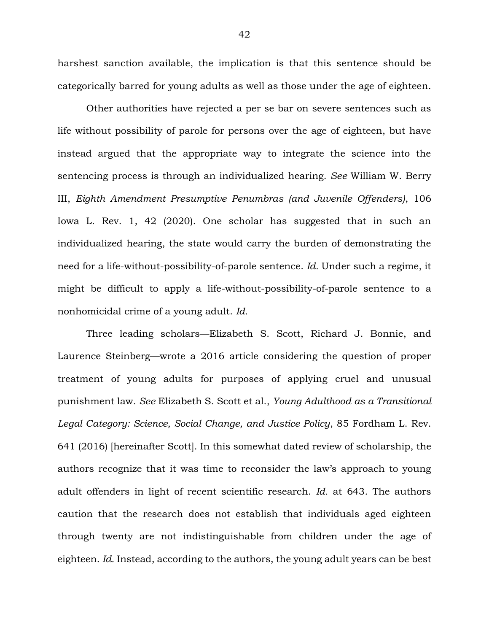harshest sanction available, the implication is that this sentence should be categorically barred for young adults as well as those under the age of eighteen.

Other authorities have rejected a per se bar on severe sentences such as life without possibility of parole for persons over the age of eighteen, but have instead argued that the appropriate way to integrate the science into the sentencing process is through an individualized hearing. *See* William W. Berry III, *Eighth Amendment Presumptive Penumbras (and Juvenile Offenders)*, 106 Iowa L. Rev. 1, 42 (2020). One scholar has suggested that in such an individualized hearing, the state would carry the burden of demonstrating the need for a life-without-possibility-of-parole sentence. *Id.* Under such a regime, it might be difficult to apply a life-without-possibility-of-parole sentence to a nonhomicidal crime of a young adult. *Id.*

Three leading scholars—Elizabeth S. Scott, Richard J. Bonnie, and Laurence Steinberg—wrote a 2016 article considering the question of proper treatment of young adults for purposes of applying cruel and unusual punishment law. *See* Elizabeth S. Scott et al., *Young Adulthood as a Transitional Legal Category: Science, Social Change, and Justice Policy*, 85 Fordham L. Rev. 641 (2016) [hereinafter Scott]. In this somewhat dated review of scholarship, the authors recognize that it was time to reconsider the law's approach to young adult offenders in light of recent scientific research. *Id.* at 643. The authors caution that the research does not establish that individuals aged eighteen through twenty are not indistinguishable from children under the age of eighteen. *Id.* Instead, according to the authors, the young adult years can be best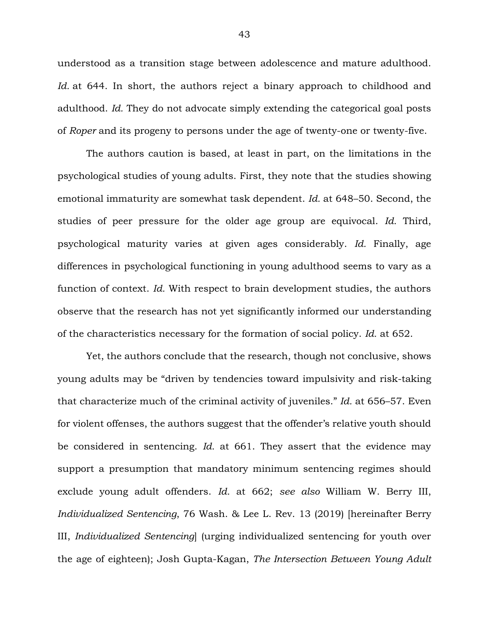understood as a transition stage between adolescence and mature adulthood. *Id.* at 644. In short, the authors reject a binary approach to childhood and adulthood. *Id.* They do not advocate simply extending the categorical goal posts of *Roper* and its progeny to persons under the age of twenty-one or twenty-five.

The authors caution is based, at least in part, on the limitations in the psychological studies of young adults. First, they note that the studies showing emotional immaturity are somewhat task dependent. *Id.* at 648–50. Second, the studies of peer pressure for the older age group are equivocal. *Id.* Third, psychological maturity varies at given ages considerably. *Id.* Finally, age differences in psychological functioning in young adulthood seems to vary as a function of context. *Id.* With respect to brain development studies, the authors observe that the research has not yet significantly informed our understanding of the characteristics necessary for the formation of social policy. *Id.* at 652.

Yet, the authors conclude that the research, though not conclusive, shows young adults may be "driven by tendencies toward impulsivity and risk-taking that characterize much of the criminal activity of juveniles." *Id.* at 656–57. Even for violent offenses, the authors suggest that the offender's relative youth should be considered in sentencing. *Id.* at 661. They assert that the evidence may support a presumption that mandatory minimum sentencing regimes should exclude young adult offenders. *Id.* at 662; *see also* William W. Berry III, *Individualized Sentencing*, 76 Wash. & Lee L. Rev. 13 (2019) [hereinafter Berry III, *Individualized Sentencing*] (urging individualized sentencing for youth over the age of eighteen); Josh Gupta-Kagan, *The Intersection Between Young Adult*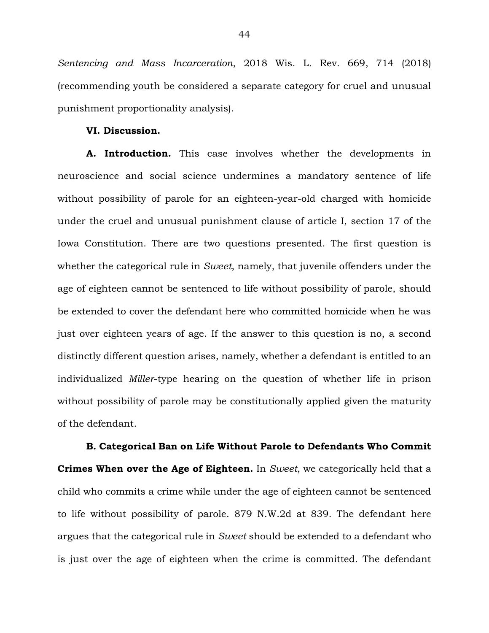*Sentencing and Mass Incarceration*, 2018 Wis. L. Rev. 669, 714 (2018) (recommending youth be considered a separate category for cruel and unusual punishment proportionality analysis).

#### **VI. Discussion.**

**A. Introduction.** This case involves whether the developments in neuroscience and social science undermines a mandatory sentence of life without possibility of parole for an eighteen-year-old charged with homicide under the cruel and unusual punishment clause of article I, section 17 of the Iowa Constitution. There are two questions presented. The first question is whether the categorical rule in *Sweet*, namely, that juvenile offenders under the age of eighteen cannot be sentenced to life without possibility of parole, should be extended to cover the defendant here who committed homicide when he was just over eighteen years of age. If the answer to this question is no, a second distinctly different question arises, namely, whether a defendant is entitled to an individualized *Miller*-type hearing on the question of whether life in prison without possibility of parole may be constitutionally applied given the maturity of the defendant.

**B. Categorical Ban on Life Without Parole to Defendants Who Commit Crimes When over the Age of Eighteen.** In *Sweet*, we categorically held that a child who commits a crime while under the age of eighteen cannot be sentenced to life without possibility of parole. 879 N.W.2d at 839. The defendant here argues that the categorical rule in *Sweet* should be extended to a defendant who is just over the age of eighteen when the crime is committed. The defendant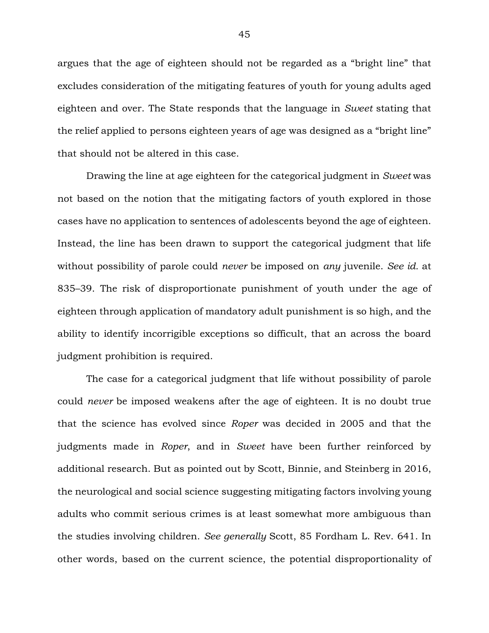argues that the age of eighteen should not be regarded as a "bright line" that excludes consideration of the mitigating features of youth for young adults aged eighteen and over. The State responds that the language in *Sweet* stating that the relief applied to persons eighteen years of age was designed as a "bright line" that should not be altered in this case.

Drawing the line at age eighteen for the categorical judgment in *Sweet* was not based on the notion that the mitigating factors of youth explored in those cases have no application to sentences of adolescents beyond the age of eighteen. Instead, the line has been drawn to support the categorical judgment that life without possibility of parole could *never* be imposed on *any* juvenile. *See id.* at 835–39. The risk of disproportionate punishment of youth under the age of eighteen through application of mandatory adult punishment is so high, and the ability to identify incorrigible exceptions so difficult, that an across the board judgment prohibition is required.

The case for a categorical judgment that life without possibility of parole could *never* be imposed weakens after the age of eighteen. It is no doubt true that the science has evolved since *Roper* was decided in 2005 and that the judgments made in *Roper*, and in *Sweet* have been further reinforced by additional research. But as pointed out by Scott, Binnie, and Steinberg in 2016, the neurological and social science suggesting mitigating factors involving young adults who commit serious crimes is at least somewhat more ambiguous than the studies involving children. *See generally* Scott, 85 Fordham L. Rev. 641. In other words, based on the current science, the potential disproportionality of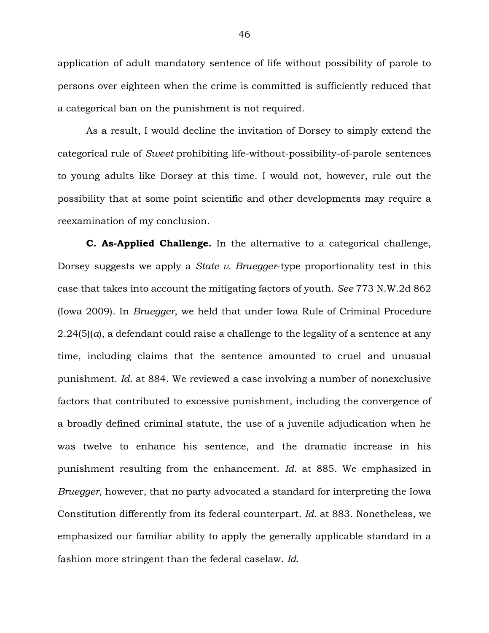application of adult mandatory sentence of life without possibility of parole to persons over eighteen when the crime is committed is sufficiently reduced that a categorical ban on the punishment is not required.

As a result, I would decline the invitation of Dorsey to simply extend the categorical rule of *Sweet* prohibiting life-without-possibility-of-parole sentences to young adults like Dorsey at this time. I would not, however, rule out the possibility that at some point scientific and other developments may require a reexamination of my conclusion.

**C. As-Applied Challenge.** In the alternative to a categorical challenge, Dorsey suggests we apply a *State v. Bruegger*-type proportionality test in this case that takes into account the mitigating factors of youth. *See* 773 N.W.2d 862 (Iowa 2009). In *Bruegger*, we held that under Iowa Rule of Criminal Procedure 2.24(5)(*a*), a defendant could raise a challenge to the legality of a sentence at any time, including claims that the sentence amounted to cruel and unusual punishment. *Id.* at 884. We reviewed a case involving a number of nonexclusive factors that contributed to excessive punishment, including the convergence of a broadly defined criminal statute, the use of a juvenile adjudication when he was twelve to enhance his sentence, and the dramatic increase in his punishment resulting from the enhancement. *Id.* at 885. We emphasized in *Bruegger*, however, that no party advocated a standard for interpreting the Iowa Constitution differently from its federal counterpart. *Id.* at 883. Nonetheless, we emphasized our familiar ability to apply the generally applicable standard in a fashion more stringent than the federal caselaw. *Id.*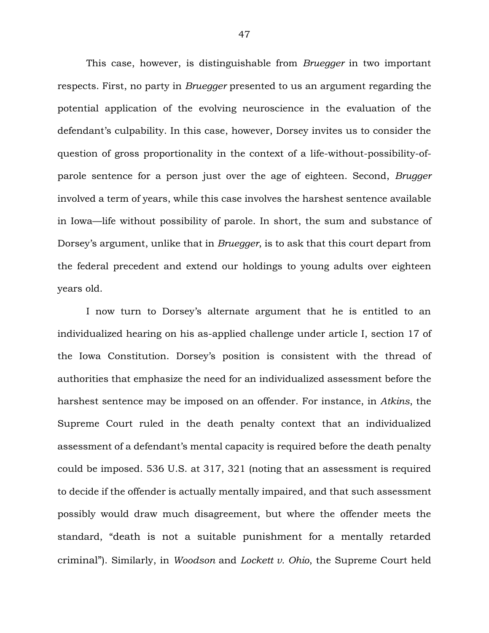This case, however, is distinguishable from *Bruegger* in two important respects. First, no party in *Bruegger* presented to us an argument regarding the potential application of the evolving neuroscience in the evaluation of the defendant's culpability. In this case, however, Dorsey invites us to consider the question of gross proportionality in the context of a life-without-possibility-ofparole sentence for a person just over the age of eighteen. Second, *Brugger* involved a term of years, while this case involves the harshest sentence available in Iowa—life without possibility of parole. In short, the sum and substance of Dorsey's argument, unlike that in *Bruegger*, is to ask that this court depart from the federal precedent and extend our holdings to young adults over eighteen years old.

I now turn to Dorsey's alternate argument that he is entitled to an individualized hearing on his as-applied challenge under article I, section 17 of the Iowa Constitution. Dorsey's position is consistent with the thread of authorities that emphasize the need for an individualized assessment before the harshest sentence may be imposed on an offender. For instance, in *Atkins*, the Supreme Court ruled in the death penalty context that an individualized assessment of a defendant's mental capacity is required before the death penalty could be imposed. 536 U.S. at 317, 321 (noting that an assessment is required to decide if the offender is actually mentally impaired, and that such assessment possibly would draw much disagreement, but where the offender meets the standard, "death is not a suitable punishment for a mentally retarded criminal"). Similarly, in *Woodson* and *Lockett v. Ohio*, the Supreme Court held

47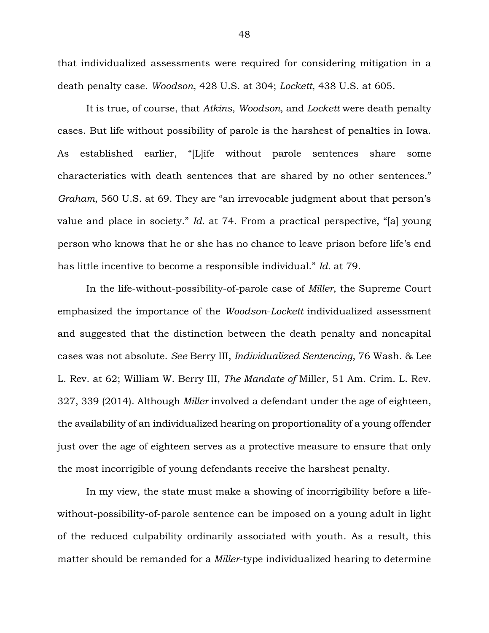that individualized assessments were required for considering mitigation in a death penalty case. *Woodson*, 428 U.S. at 304; *Lockett*, 438 U.S. at 605.

It is true, of course, that *Atkins*, *Woodson*, and *Lockett* were death penalty cases. But life without possibility of parole is the harshest of penalties in Iowa. As established earlier, "[L]ife without parole sentences share some characteristics with death sentences that are shared by no other sentences." *Graham*, 560 U.S. at 69. They are "an irrevocable judgment about that person's value and place in society." *Id.* at 74. From a practical perspective, "[a] young person who knows that he or she has no chance to leave prison before life's end has little incentive to become a responsible individual." *Id.* at 79.

In the life-without-possibility-of-parole case of *Miller*, the Supreme Court emphasized the importance of the *Woodson*-*Lockett* individualized assessment and suggested that the distinction between the death penalty and noncapital cases was not absolute. *See* Berry III, *Individualized Sentencing*, 76 Wash. & Lee L. Rev. at 62; William W. Berry III, *The Mandate of* Miller, 51 Am. Crim. L. Rev. 327, 339 (2014). Although *Miller* involved a defendant under the age of eighteen, the availability of an individualized hearing on proportionality of a young offender just over the age of eighteen serves as a protective measure to ensure that only the most incorrigible of young defendants receive the harshest penalty.

In my view, the state must make a showing of incorrigibility before a lifewithout-possibility-of-parole sentence can be imposed on a young adult in light of the reduced culpability ordinarily associated with youth. As a result, this matter should be remanded for a *Miller*-type individualized hearing to determine